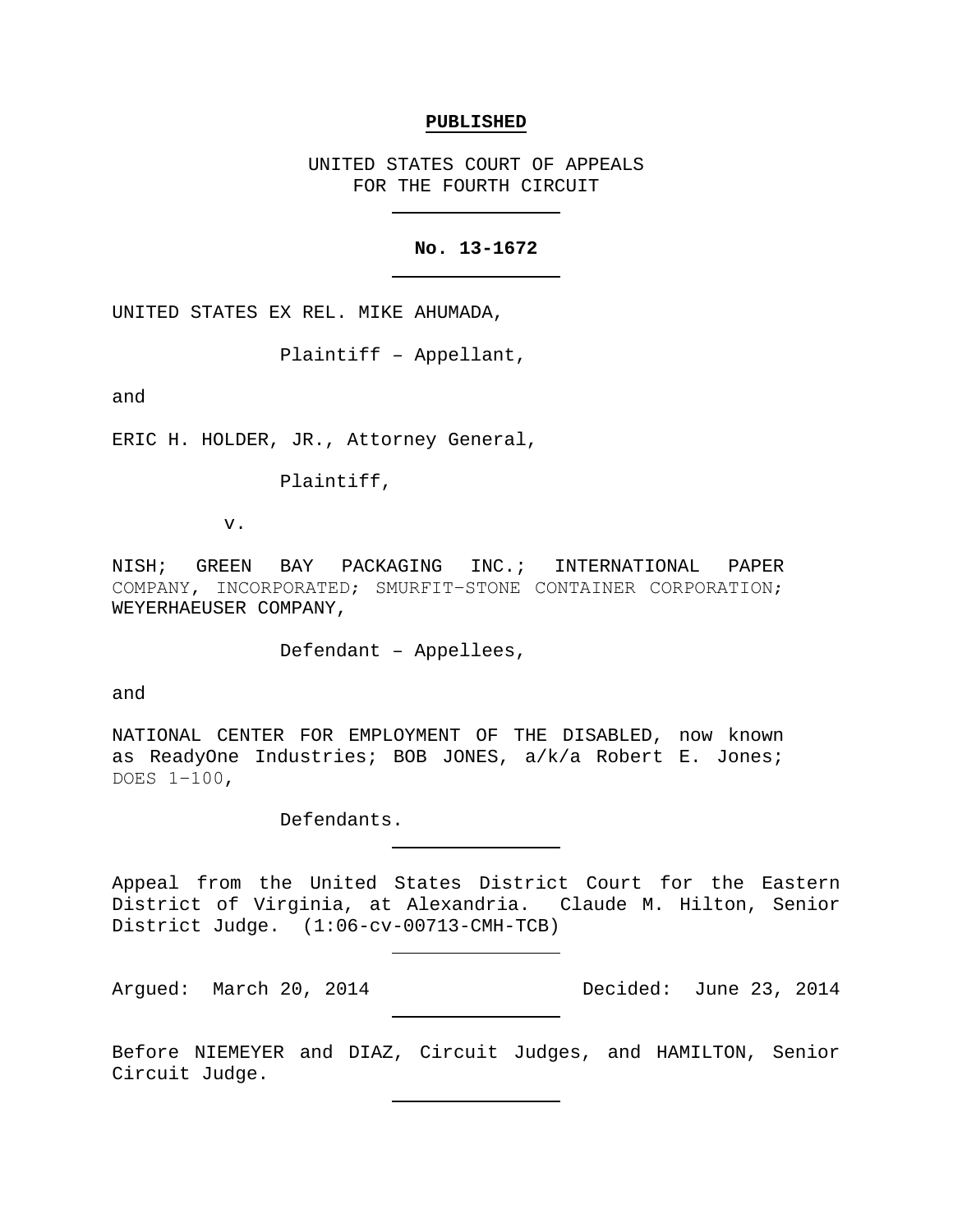### **PUBLISHED**

UNITED STATES COURT OF APPEALS FOR THE FOURTH CIRCUIT

## **No. 13-1672**

UNITED STATES EX REL. MIKE AHUMADA,

Plaintiff – Appellant,

and

ERIC H. HOLDER, JR., Attorney General,

Plaintiff,

v.

NISH; GREEN BAY PACKAGING INC.; INTERNATIONAL PAPER COMPANY, INCORPORATED; SMURFIT−STONE CONTAINER CORPORATION; WEYERHAEUSER COMPANY,

Defendant – Appellees,

and

NATIONAL CENTER FOR EMPLOYMENT OF THE DISABLED, now known as ReadyOne Industries; BOB JONES, a/k/a Robert E. Jones; DOES 1−100,

Defendants.

Appeal from the United States District Court for the Eastern District of Virginia, at Alexandria. Claude M. Hilton, Senior District Judge. (1:06-cv-00713-CMH-TCB)

Argued: March 20, 2014 Decided: June 23, 2014

Before NIEMEYER and DIAZ, Circuit Judges, and HAMILTON, Senior Circuit Judge.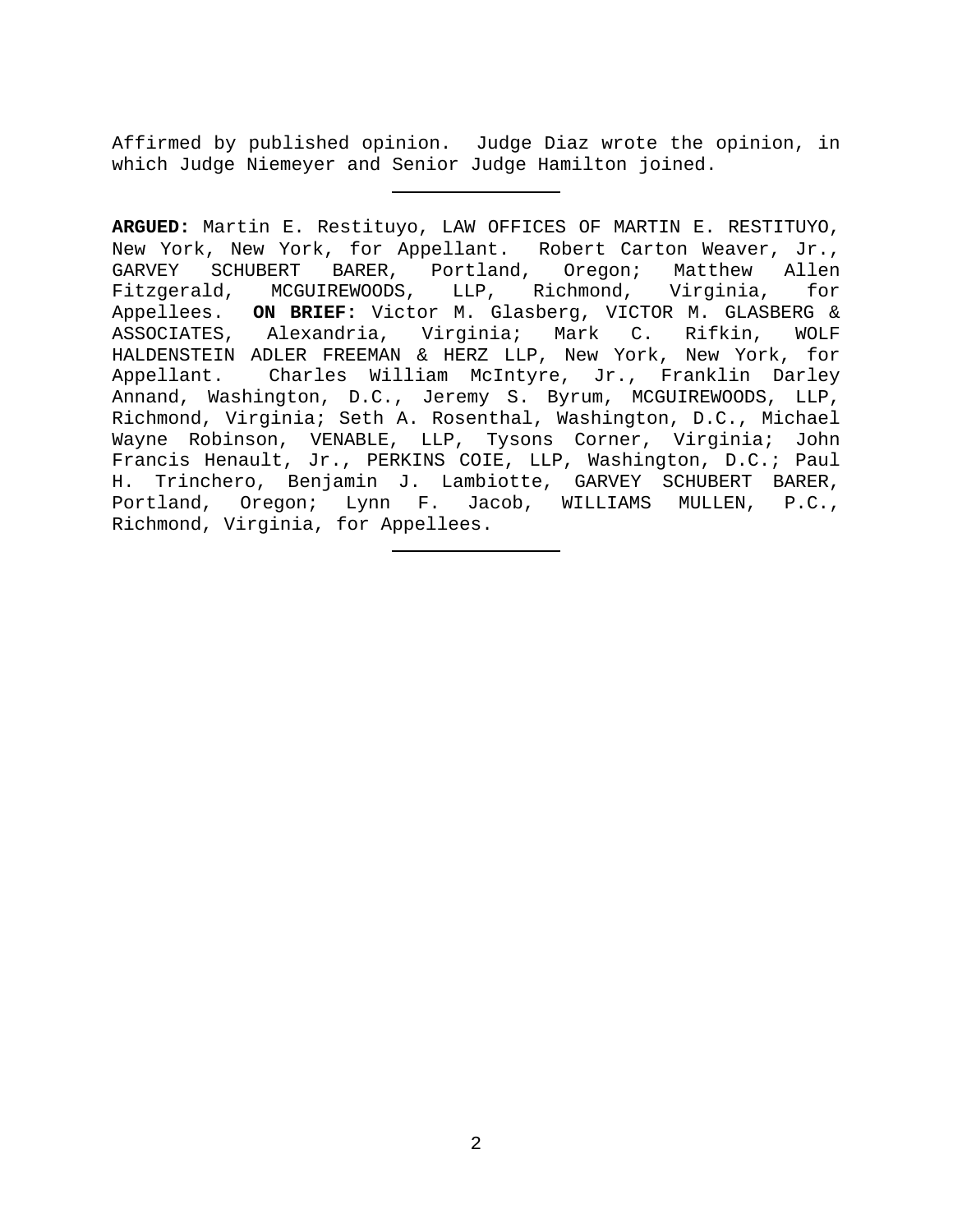Affirmed by published opinion. Judge Diaz wrote the opinion, in which Judge Niemeyer and Senior Judge Hamilton joined.

**ARGUED:** Martin E. Restituyo, LAW OFFICES OF MARTIN E. RESTITUYO, New York, New York, for Appellant. Robert Carton Weaver, Jr., GARVEY SCHUBERT BARER, Portland, Oregon; Matthew Allen<br>Fitzgerald, MCGUIREWOODS, LLP, Richmond, Virginia, for MCGUIREWOODS, LLP, Richmond, Appellees. **ON BRIEF:** Victor M. Glasberg, VICTOR M. GLASBERG & ASSOCIATES, Alexandria, Virginia; Mark C. Rifkin, WOLF HALDENSTEIN ADLER FREEMAN & HERZ LLP, New York, New York, for<br>Appellant. Charles William McIntyre, Jr., Franklin Darley Charles William McIntyre, Jr., Franklin Darley Annand, Washington, D.C., Jeremy S. Byrum, MCGUIREWOODS, LLP, Richmond, Virginia; Seth A. Rosenthal, Washington, D.C., Michael Wayne Robinson, VENABLE, LLP, Tysons Corner, Virginia; John Francis Henault, Jr., PERKINS COIE, LLP, Washington, D.C.; Paul H. Trinchero, Benjamin J. Lambiotte, GARVEY SCHUBERT BARER, Portland, Oregon; Lynn F. Jacob, WILLIAMS MULLEN, P.C., Richmond, Virginia, for Appellees.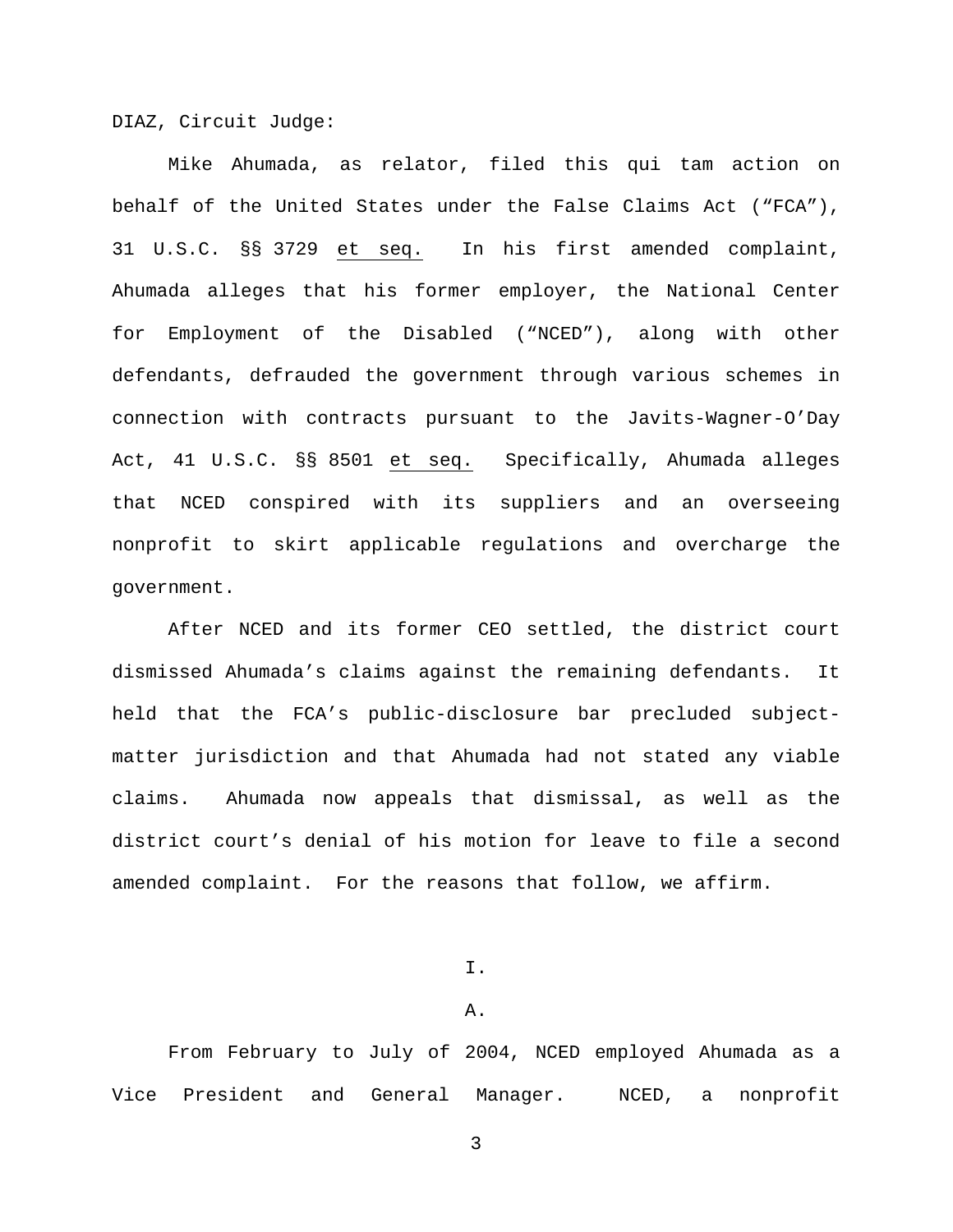DIAZ, Circuit Judge:

Mike Ahumada, as relator, filed this qui tam action on behalf of the United States under the False Claims Act ("FCA"), 31 U.S.C. §§ 3729 et seq. In his first amended complaint, Ahumada alleges that his former employer, the National Center for Employment of the Disabled ("NCED"), along with other defendants, defrauded the government through various schemes in connection with contracts pursuant to the Javits-Wagner-O'Day Act, 41 U.S.C. §§ 8501 et seq. Specifically, Ahumada alleges that NCED conspired with its suppliers and an overseeing nonprofit to skirt applicable regulations and overcharge the government.

After NCED and its former CEO settled, the district court dismissed Ahumada's claims against the remaining defendants. It held that the FCA's public-disclosure bar precluded subjectmatter jurisdiction and that Ahumada had not stated any viable claims. Ahumada now appeals that dismissal, as well as the district court's denial of his motion for leave to file a second amended complaint. For the reasons that follow, we affirm.

I.

# A.

From February to July of 2004, NCED employed Ahumada as a Vice President and General Manager. NCED, a nonprofit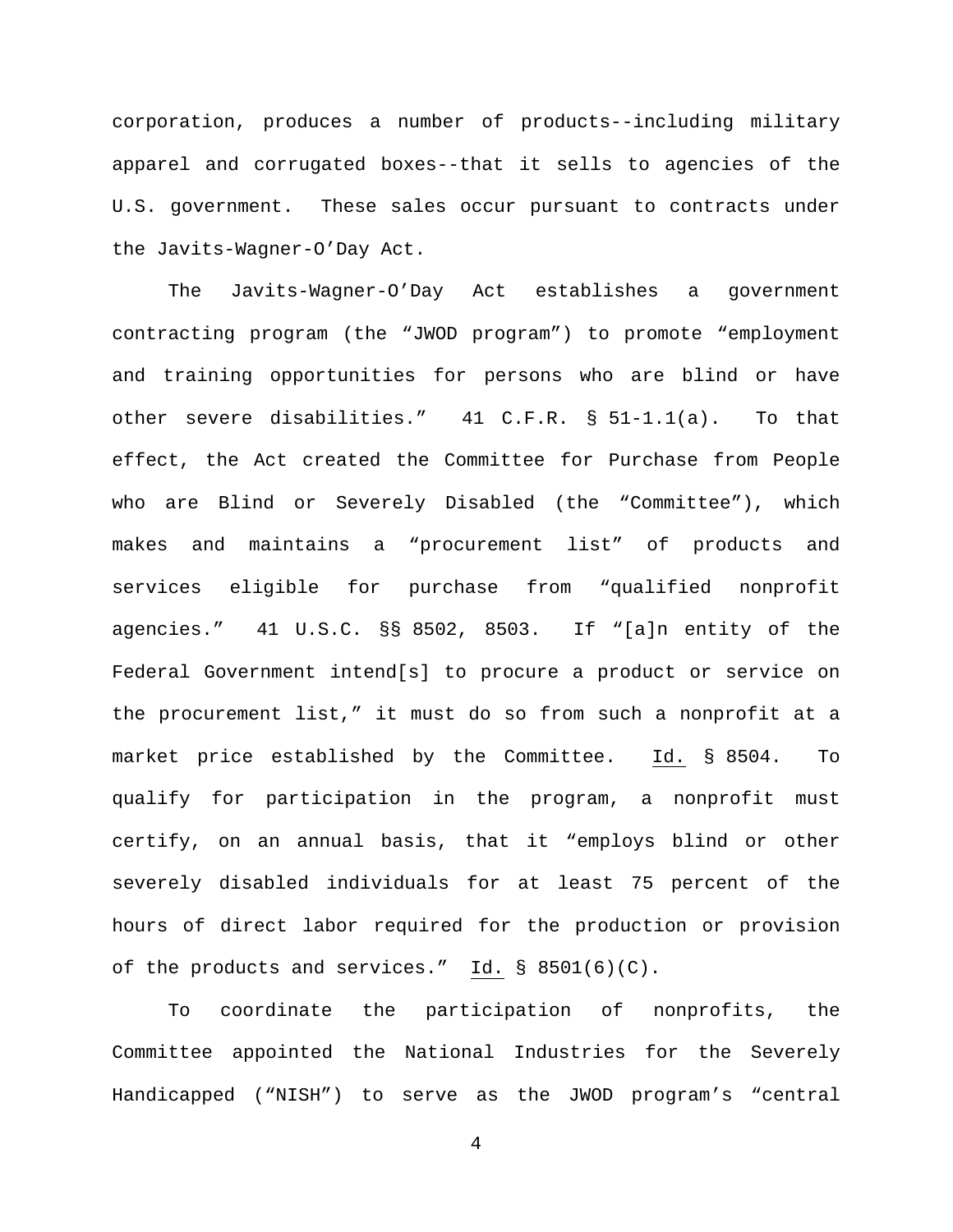corporation, produces a number of products--including military apparel and corrugated boxes--that it sells to agencies of the U.S. government. These sales occur pursuant to contracts under the Javits-Wagner-O'Day Act.

The Javits-Wagner-O'Day Act establishes a government contracting program (the "JWOD program") to promote "employment and training opportunities for persons who are blind or have other severe disabilities." 41 C.F.R. § 51-1.1(a). To that effect, the Act created the Committee for Purchase from People who are Blind or Severely Disabled (the "Committee"), which makes and maintains a "procurement list" of products and services eligible for purchase from "qualified nonprofit agencies." 41 U.S.C. §§ 8502, 8503. If "[a]n entity of the Federal Government intend[s] to procure a product or service on the procurement list," it must do so from such a nonprofit at a market price established by the Committee. Id. § 8504. To qualify for participation in the program, a nonprofit must certify, on an annual basis, that it "employs blind or other severely disabled individuals for at least 75 percent of the hours of direct labor required for the production or provision of the products and services." Id. § 8501(6)(C).

To coordinate the participation of nonprofits, the Committee appointed the National Industries for the Severely Handicapped ("NISH") to serve as the JWOD program's "central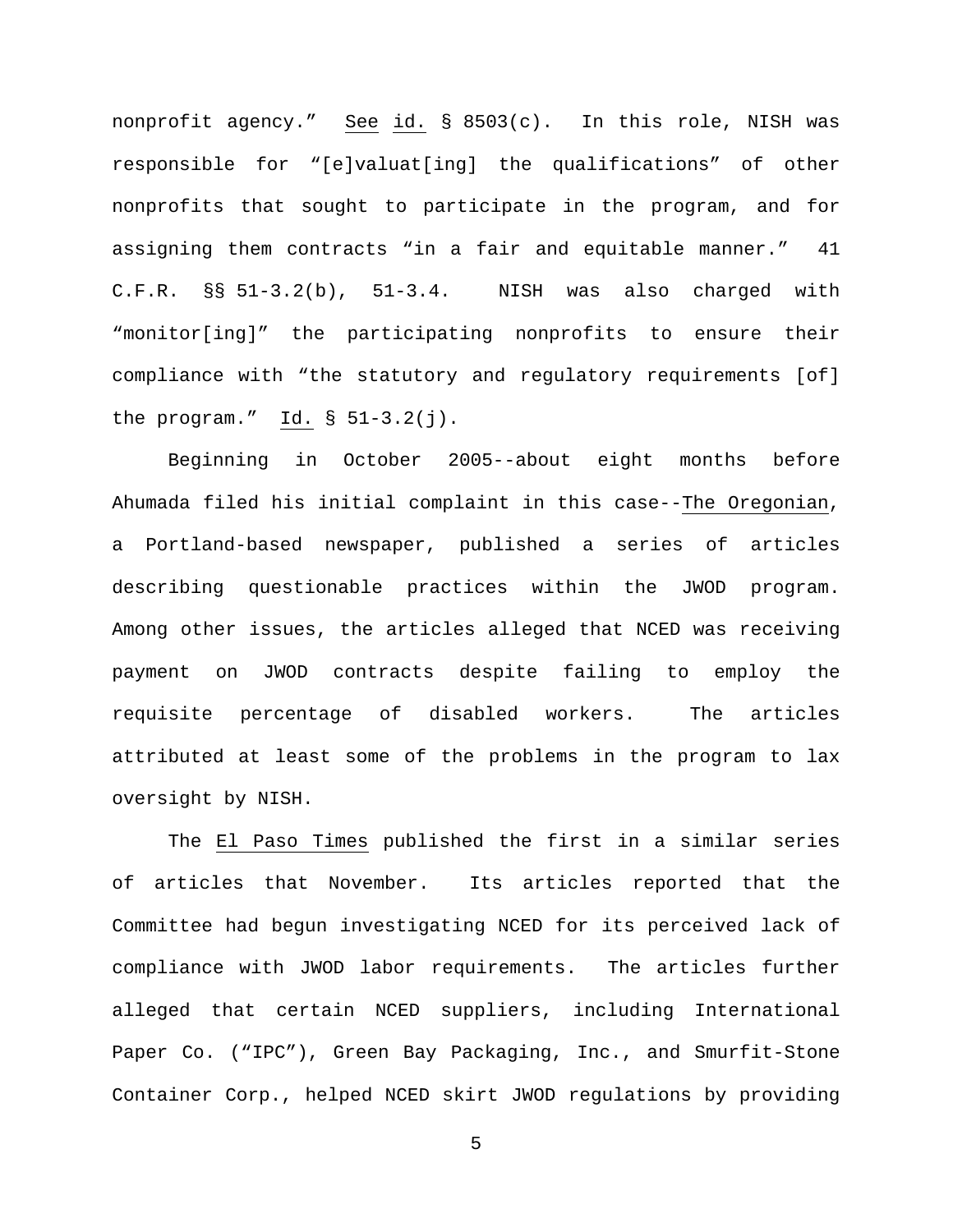nonprofit agency." See id. § 8503(c). In this role, NISH was responsible for "[e]valuat[ing] the qualifications" of other nonprofits that sought to participate in the program, and for assigning them contracts "in a fair and equitable manner." 41 C.F.R. §§ 51-3.2(b), 51-3.4. NISH was also charged with "monitor[ing]" the participating nonprofits to ensure their compliance with "the statutory and regulatory requirements [of] the program."  $Id. \S 51-3.2(j)$ .

Beginning in October 2005--about eight months before Ahumada filed his initial complaint in this case--The Oregonian, a Portland-based newspaper, published a series of articles describing questionable practices within the JWOD program. Among other issues, the articles alleged that NCED was receiving payment on JWOD contracts despite failing to employ the requisite percentage of disabled workers. The articles attributed at least some of the problems in the program to lax oversight by NISH.

The El Paso Times published the first in a similar series of articles that November. Its articles reported that the Committee had begun investigating NCED for its perceived lack of compliance with JWOD labor requirements. The articles further alleged that certain NCED suppliers, including International Paper Co. ("IPC"), Green Bay Packaging, Inc., and Smurfit-Stone Container Corp., helped NCED skirt JWOD regulations by providing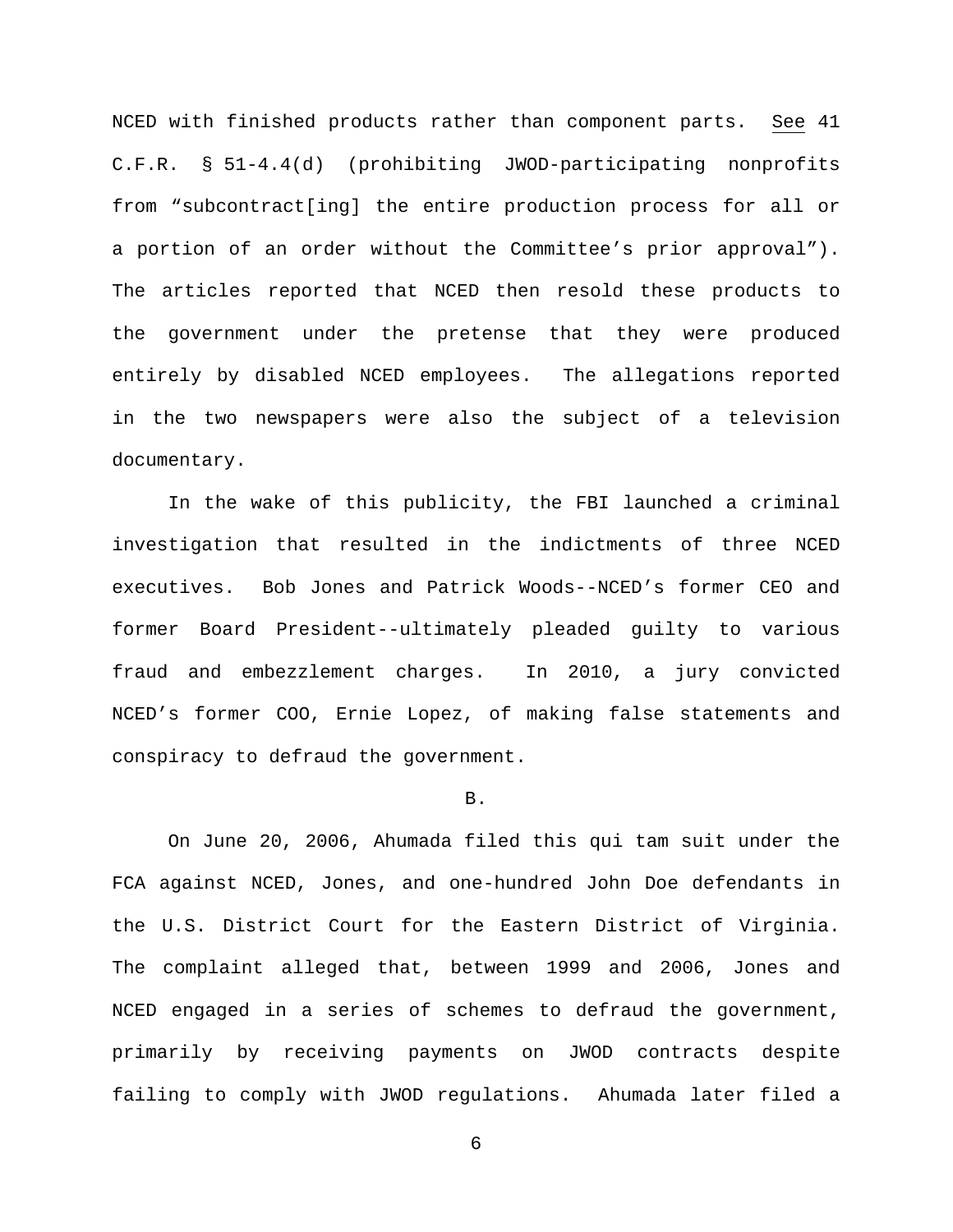NCED with finished products rather than component parts. See 41 C.F.R. § 51-4.4(d) (prohibiting JWOD-participating nonprofits from "subcontract[ing] the entire production process for all or a portion of an order without the Committee's prior approval"). The articles reported that NCED then resold these products to the government under the pretense that they were produced entirely by disabled NCED employees. The allegations reported in the two newspapers were also the subject of a television documentary.

In the wake of this publicity, the FBI launched a criminal investigation that resulted in the indictments of three NCED executives. Bob Jones and Patrick Woods--NCED's former CEO and former Board President--ultimately pleaded guilty to various fraud and embezzlement charges. In 2010, a jury convicted NCED's former COO, Ernie Lopez, of making false statements and conspiracy to defraud the government.

#### B.

On June 20, 2006, Ahumada filed this qui tam suit under the FCA against NCED, Jones, and one-hundred John Doe defendants in the U.S. District Court for the Eastern District of Virginia. The complaint alleged that, between 1999 and 2006, Jones and NCED engaged in a series of schemes to defraud the government, primarily by receiving payments on JWOD contracts despite failing to comply with JWOD regulations. Ahumada later filed a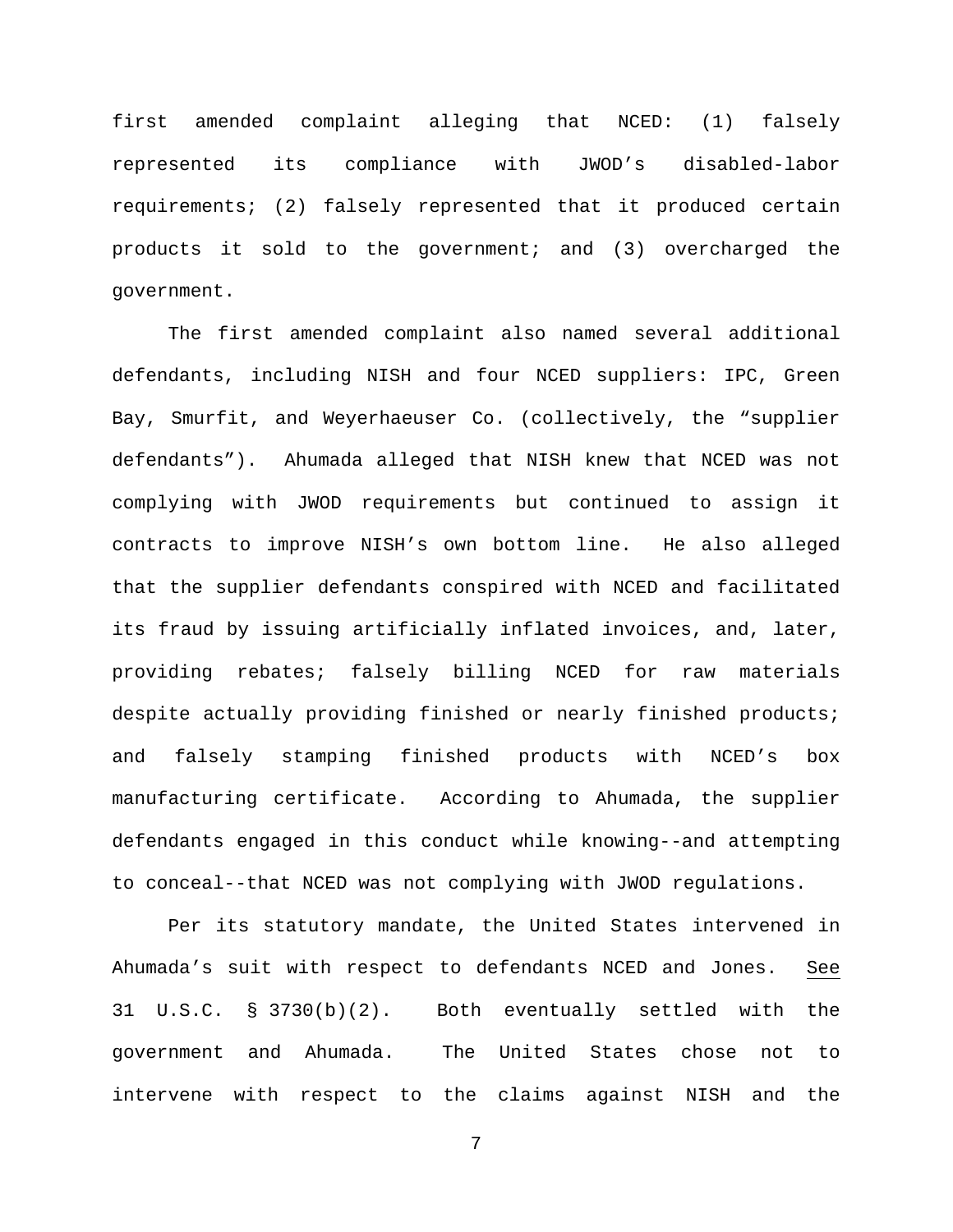first amended complaint alleging that NCED: (1) falsely represented its compliance with JWOD's disabled-labor requirements; (2) falsely represented that it produced certain products it sold to the government; and (3) overcharged the government.

The first amended complaint also named several additional defendants, including NISH and four NCED suppliers: IPC, Green Bay, Smurfit, and Weyerhaeuser Co. (collectively, the "supplier defendants"). Ahumada alleged that NISH knew that NCED was not complying with JWOD requirements but continued to assign it contracts to improve NISH's own bottom line. He also alleged that the supplier defendants conspired with NCED and facilitated its fraud by issuing artificially inflated invoices, and, later, providing rebates; falsely billing NCED for raw materials despite actually providing finished or nearly finished products; and falsely stamping finished products with NCED's box manufacturing certificate. According to Ahumada, the supplier defendants engaged in this conduct while knowing--and attempting to conceal--that NCED was not complying with JWOD regulations.

Per its statutory mandate, the United States intervened in Ahumada's suit with respect to defendants NCED and Jones. See 31 U.S.C. § 3730(b)(2). Both eventually settled with the government and Ahumada. The United States chose not to intervene with respect to the claims against NISH and the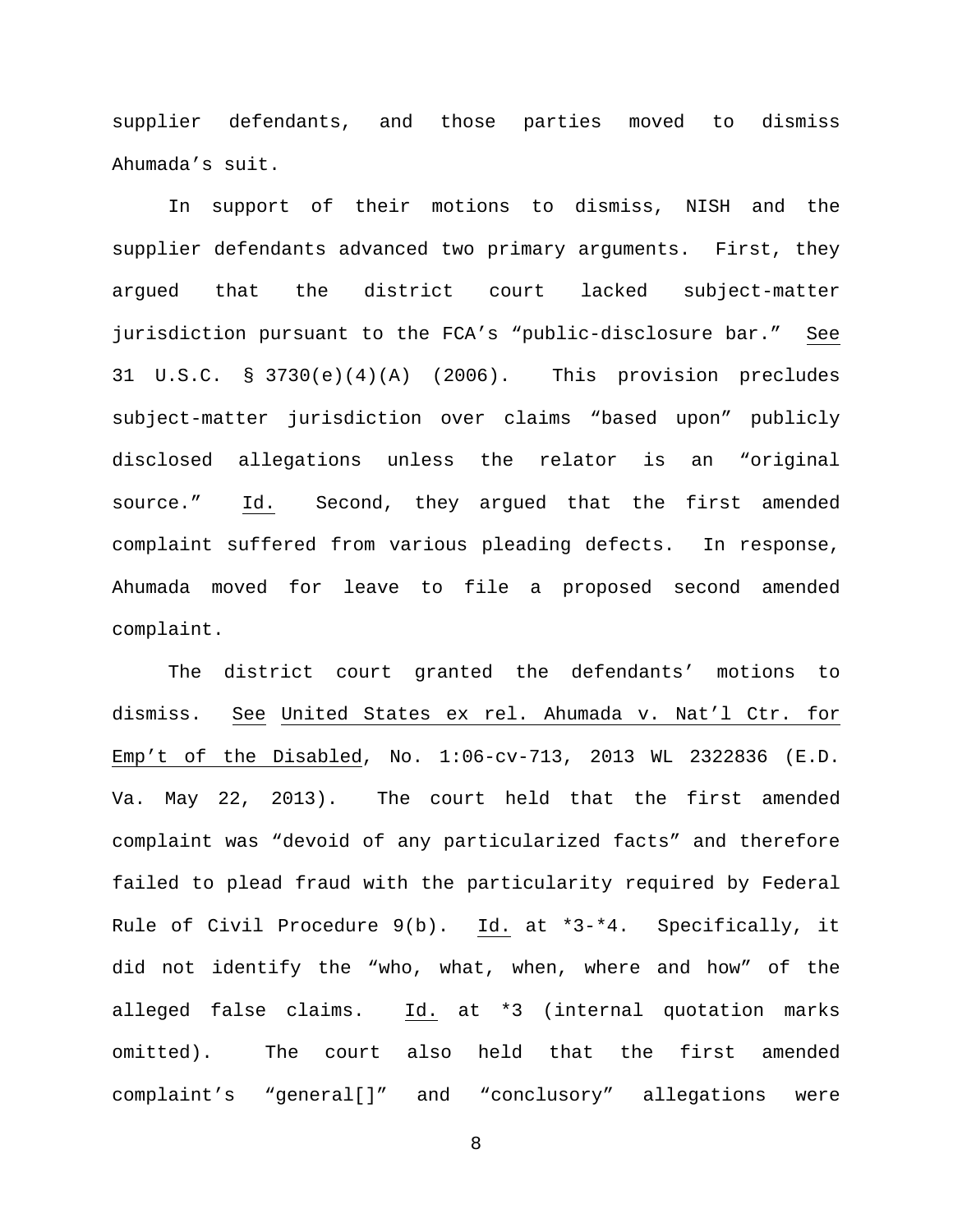supplier defendants, and those parties moved to dismiss Ahumada's suit.

In support of their motions to dismiss, NISH and the supplier defendants advanced two primary arguments. First, they argued that the district court lacked subject-matter jurisdiction pursuant to the FCA's "public-disclosure bar." See 31 U.S.C. § 3730(e)(4)(A) (2006). This provision precludes subject-matter jurisdiction over claims "based upon" publicly disclosed allegations unless the relator is an "original source." Id. Second, they argued that the first amended complaint suffered from various pleading defects. In response, Ahumada moved for leave to file a proposed second amended complaint.

The district court granted the defendants' motions to dismiss. See United States ex rel. Ahumada v. Nat'l Ctr. for Emp't of the Disabled, No. 1:06-cv-713, 2013 WL 2322836 (E.D. Va. May 22, 2013). The court held that the first amended complaint was "devoid of any particularized facts" and therefore failed to plead fraud with the particularity required by Federal Rule of Civil Procedure 9(b). Id. at \*3-\*4. Specifically, it did not identify the "who, what, when, where and how" of the alleged false claims. Id. at \*3 (internal quotation marks omitted). The court also held that the first amended complaint's "general[]" and "conclusory" allegations were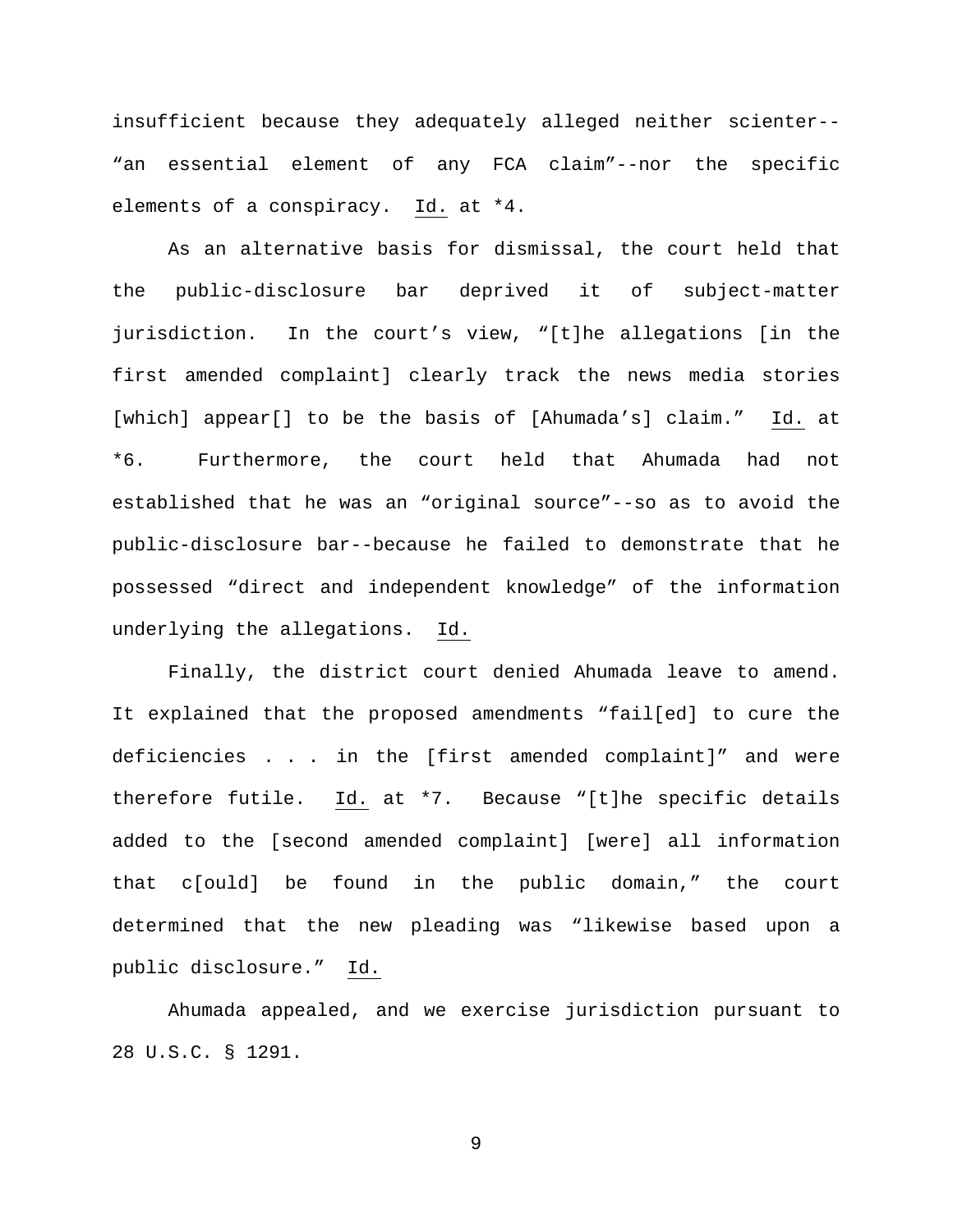insufficient because they adequately alleged neither scienter-- "an essential element of any FCA claim"--nor the specific elements of a conspiracy. Id. at \*4.

As an alternative basis for dismissal, the court held that the public-disclosure bar deprived it of subject-matter jurisdiction. In the court's view, "[t]he allegations [in the first amended complaint] clearly track the news media stories [which] appear[] to be the basis of [Ahumada's] claim." Id. at \*6. Furthermore, the court held that Ahumada had not established that he was an "original source"--so as to avoid the public-disclosure bar--because he failed to demonstrate that he possessed "direct and independent knowledge" of the information underlying the allegations. Id.

Finally, the district court denied Ahumada leave to amend. It explained that the proposed amendments "fail[ed] to cure the deficiencies . . . in the [first amended complaint]" and were therefore futile. Id. at \*7. Because "[t]he specific details added to the [second amended complaint] [were] all information that c[ould] be found in the public domain," the court determined that the new pleading was "likewise based upon a public disclosure." Id.

Ahumada appealed, and we exercise jurisdiction pursuant to 28 U.S.C. § 1291.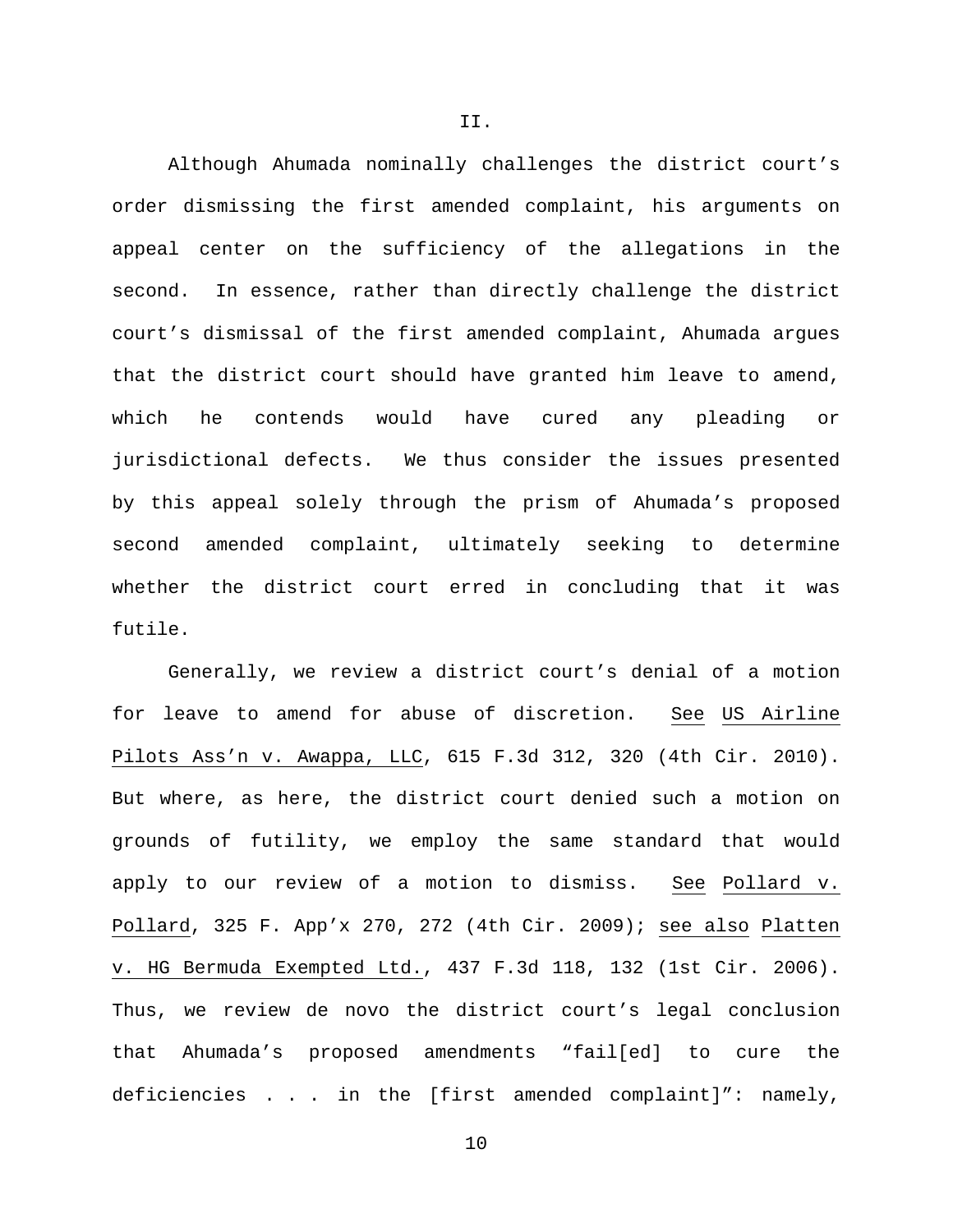Although Ahumada nominally challenges the district court's order dismissing the first amended complaint, his arguments on appeal center on the sufficiency of the allegations in the second. In essence, rather than directly challenge the district court's dismissal of the first amended complaint, Ahumada argues that the district court should have granted him leave to amend, which he contends would have cured any pleading or jurisdictional defects. We thus consider the issues presented by this appeal solely through the prism of Ahumada's proposed second amended complaint, ultimately seeking to determine whether the district court erred in concluding that it was futile.

Generally, we review a district court's denial of a motion for leave to amend for abuse of discretion. See US Airline Pilots Ass'n v. Awappa, LLC, 615 F.3d 312, 320 (4th Cir. 2010). But where, as here, the district court denied such a motion on grounds of futility, we employ the same standard that would apply to our review of a motion to dismiss. See Pollard v. Pollard, 325 F. App'x 270, 272 (4th Cir. 2009); see also Platten v. HG Bermuda Exempted Ltd., 437 F.3d 118, 132 (1st Cir. 2006). Thus, we review de novo the district court's legal conclusion that Ahumada's proposed amendments "fail[ed] to cure the deficiencies . . . in the [first amended complaint]": namely,

II.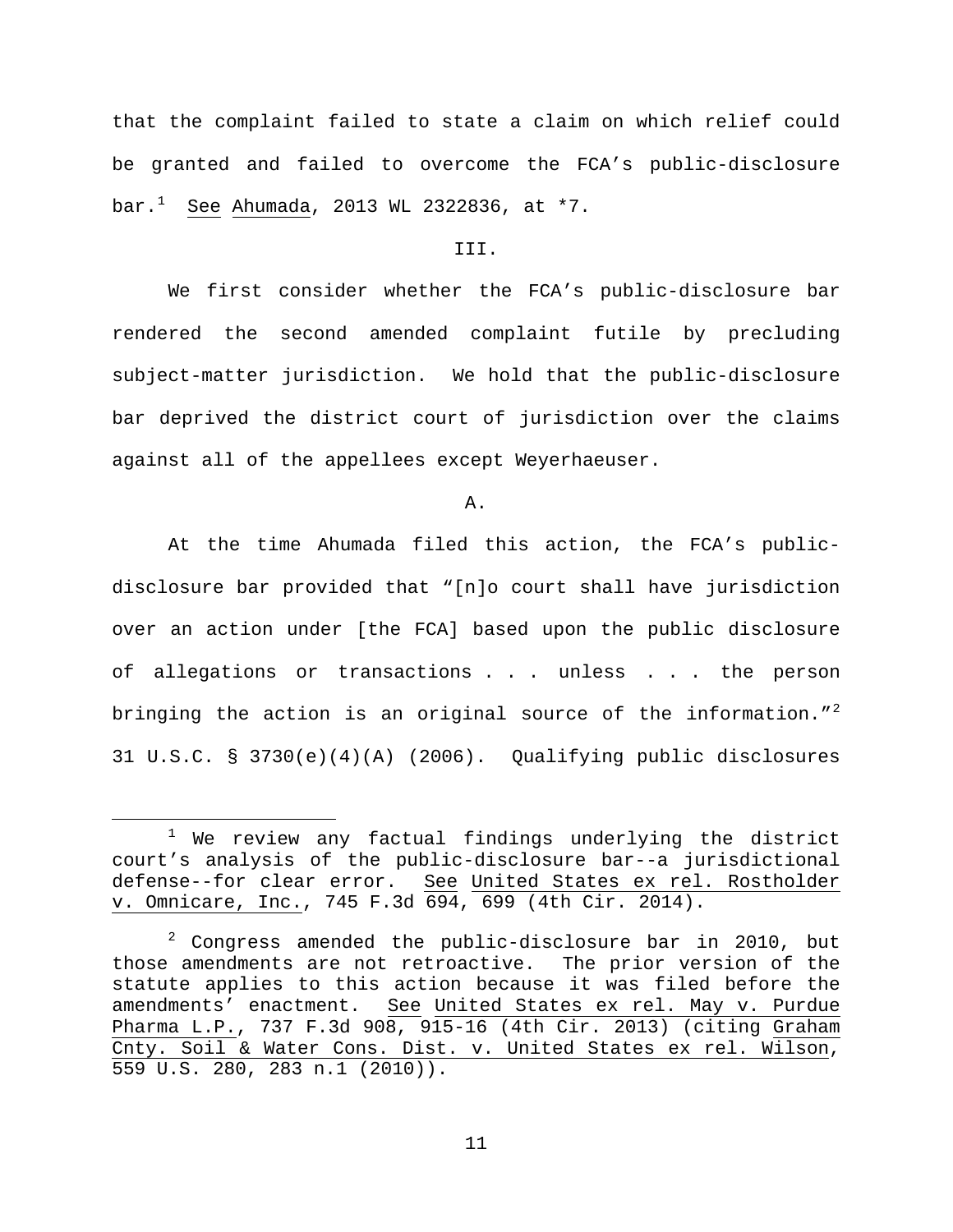that the complaint failed to state a claim on which relief could be granted and failed to overcome the FCA's public-disclosure bar.<sup>[1](#page-10-0)</sup> <u>See</u> <u>Ahumada</u>, 2013 WL 2322836, at \*7.

## III.

We first consider whether the FCA's public-disclosure bar rendered the second amended complaint futile by precluding subject-matter jurisdiction. We hold that the public-disclosure bar deprived the district court of jurisdiction over the claims against all of the appellees except Weyerhaeuser.

A.

At the time Ahumada filed this action, the FCA's publicdisclosure bar provided that "[n]o court shall have jurisdiction over an action under [the FCA] based upon the public disclosure of allegations or transactions . . . unless . . . the person bringing the action is an original source of the information." $^2$  $^2$ 31 U.S.C. § 3730(e)(4)(A) (2006). Qualifying public disclosures

<span id="page-10-0"></span> $1$  We review any factual findings underlying the district court's analysis of the public-disclosure bar--a jurisdictional defense--for clear error. See United States ex rel. Rostholder v. Omnicare, Inc., 745 F.3d 694, 699 (4th Cir. 2014).

<span id="page-10-1"></span> $2$  Congress amended the public-disclosure bar in 2010, but those amendments are not retroactive. The prior version of the statute applies to this action because it was filed before the amendments' enactment. See United States ex rel. May v. Purdue Pharma L.P., 737 F.3d 908, 915-16 (4th Cir. 2013) (citing Graham Cnty. Soil & Water Cons. Dist. v. United States ex rel. Wilson, 559 U.S. 280, 283 n.1 (2010)).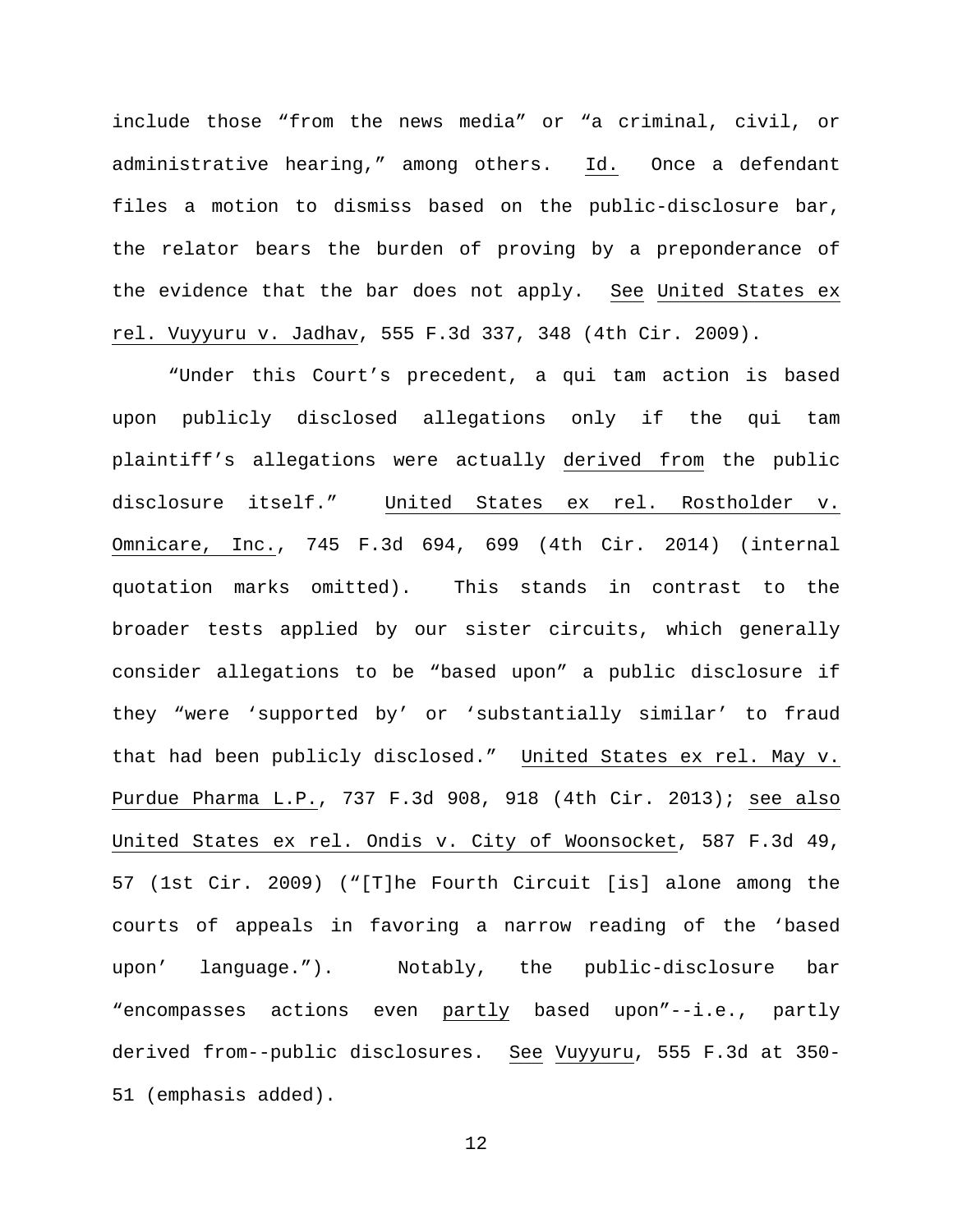include those "from the news media" or "a criminal, civil, or administrative hearing," among others. Id. Once a defendant files a motion to dismiss based on the public-disclosure bar, the relator bears the burden of proving by a preponderance of the evidence that the bar does not apply. See United States ex rel. Vuyyuru v. Jadhav, 555 F.3d 337, 348 (4th Cir. 2009).

"Under this Court's precedent, a qui tam action is based upon publicly disclosed allegations only if the qui tam plaintiff's allegations were actually derived from the public disclosure itself." United States ex rel. Rostholder v. Omnicare, Inc., 745 F.3d 694, 699 (4th Cir. 2014) (internal quotation marks omitted). This stands in contrast to the broader tests applied by our sister circuits, which generally consider allegations to be "based upon" a public disclosure if they "were 'supported by' or 'substantially similar' to fraud that had been publicly disclosed." United States ex rel. May v. Purdue Pharma L.P., 737 F.3d 908, 918 (4th Cir. 2013); see also United States ex rel. Ondis v. City of Woonsocket, 587 F.3d 49, 57 (1st Cir. 2009) ("[T]he Fourth Circuit [is] alone among the courts of appeals in favoring a narrow reading of the 'based upon' language."). Notably, the public-disclosure bar "encompasses actions even partly based upon"--i.e., partly derived from--public disclosures. See Vuyyuru, 555 F.3d at 350- 51 (emphasis added).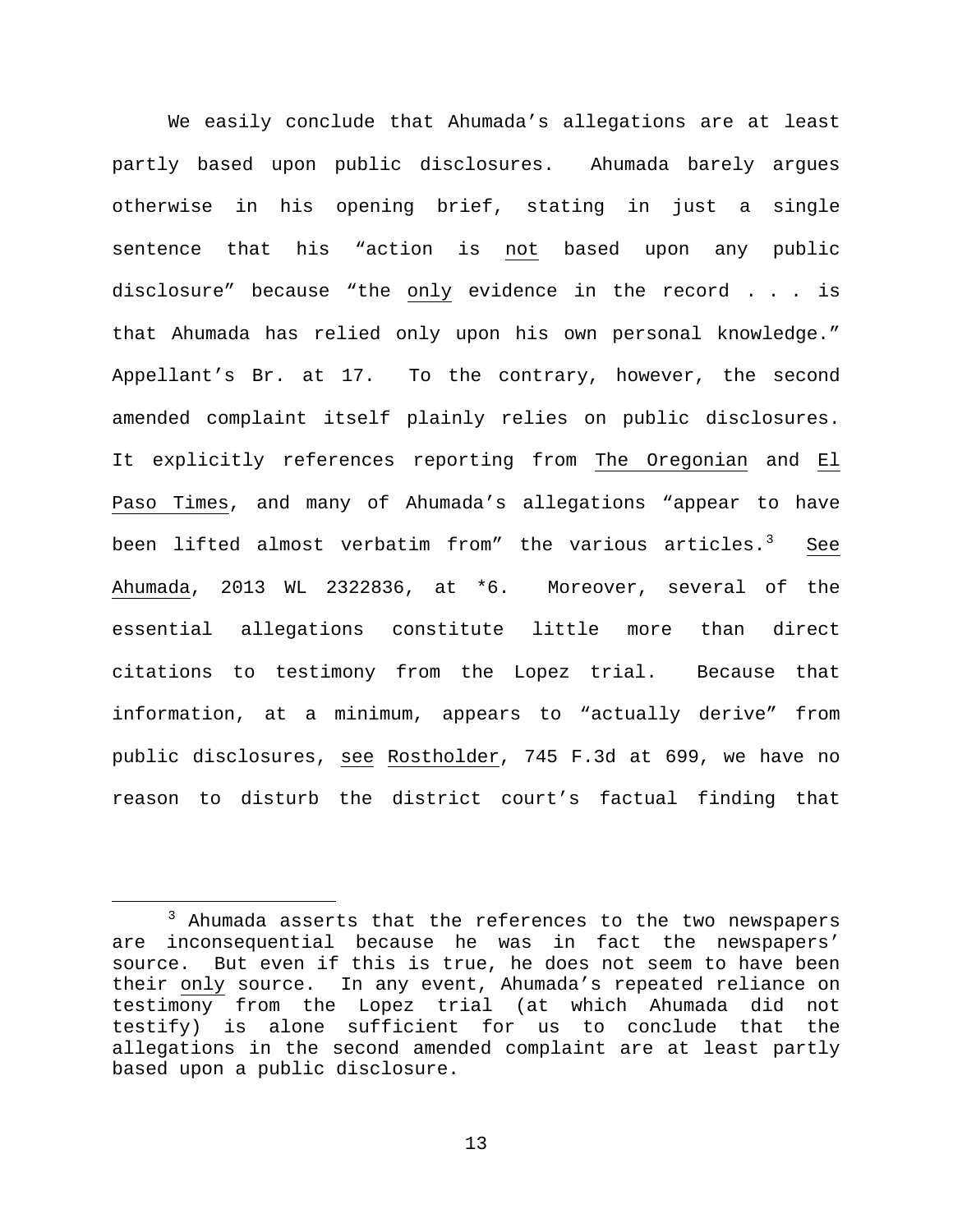We easily conclude that Ahumada's allegations are at least partly based upon public disclosures. Ahumada barely argues otherwise in his opening brief, stating in just a single sentence that his "action is not based upon any public disclosure" because "the only evidence in the record . . . is that Ahumada has relied only upon his own personal knowledge." Appellant's Br. at 17. To the contrary, however, the second amended complaint itself plainly relies on public disclosures. It explicitly references reporting from The Oregonian and El Paso Times, and many of Ahumada's allegations "appear to have been lifted almost verbatim from" the various articles.<sup>[3](#page-12-0)</sup> See Ahumada, 2013 WL 2322836, at \*6. Moreover, several of the essential allegations constitute little more than direct citations to testimony from the Lopez trial. Because that information, at a minimum, appears to "actually derive" from public disclosures, see Rostholder, 745 F.3d at 699, we have no reason to disturb the district court's factual finding that

<span id="page-12-0"></span><sup>&</sup>lt;sup>3</sup> Ahumada asserts that the references to the two newspapers are inconsequential because he was in fact the newspapers' source. But even if this is true, he does not seem to have been their only source. In any event, Ahumada's repeated reliance on testimony from the Lopez trial (at which Ahumada did not testify) is alone sufficient for us to conclude that the allegations in the second amended complaint are at least partly based upon a public disclosure.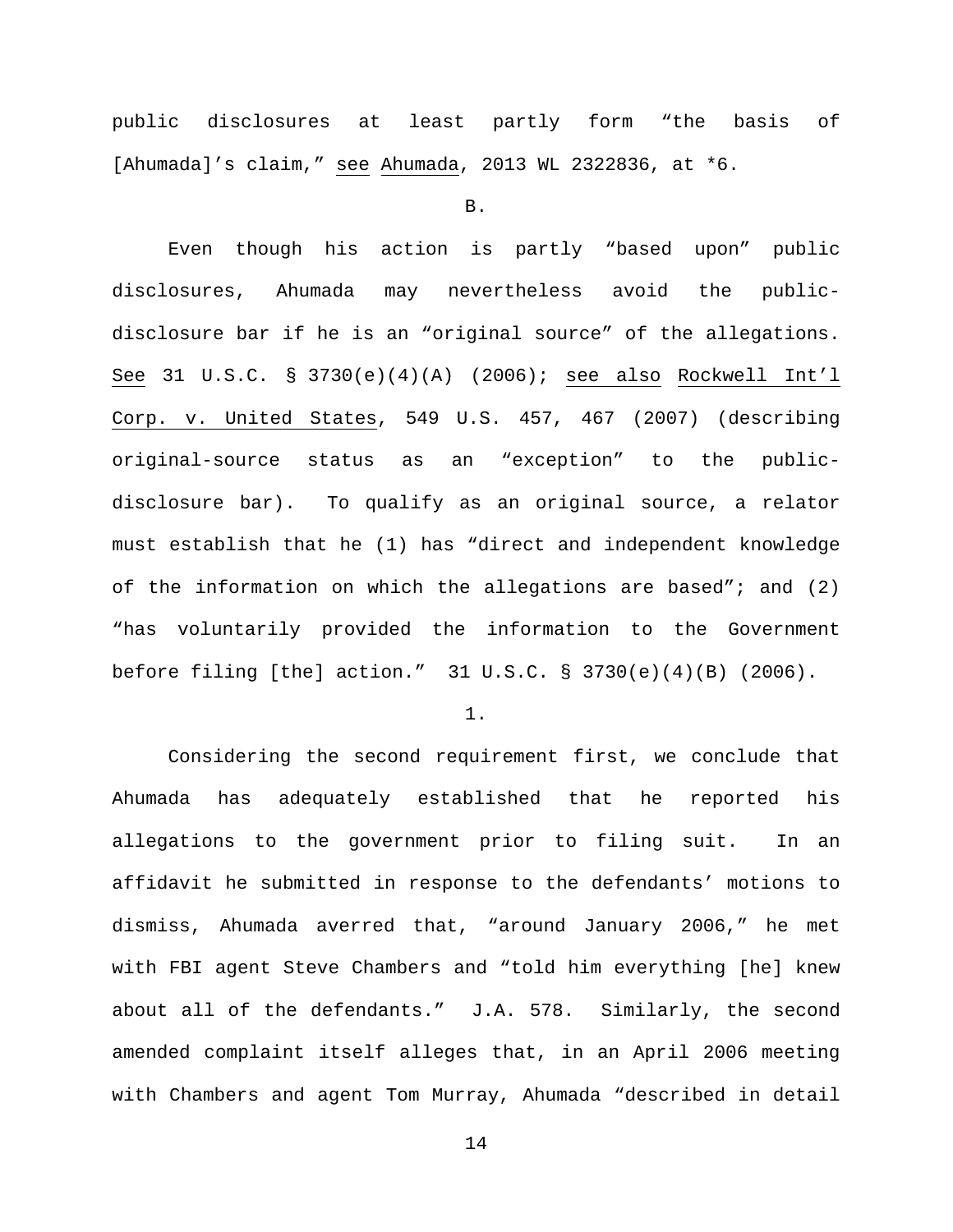public disclosures at least partly form "the basis of [Ahumada]'s claim," see Ahumada, 2013 WL 2322836, at \*6.

B.

Even though his action is partly "based upon" public disclosures, Ahumada may nevertheless avoid the publicdisclosure bar if he is an "original source" of the allegations. See 31 U.S.C. § 3730(e)(4)(A) (2006); see also Rockwell Int'l Corp. v. United States, 549 U.S. 457, 467 (2007) (describing original-source status as an "exception" to the publicdisclosure bar). To qualify as an original source, a relator must establish that he (1) has "direct and independent knowledge of the information on which the allegations are based"; and (2) "has voluntarily provided the information to the Government before filing [the] action." 31 U.S.C. § 3730(e)(4)(B) (2006).

1.

Considering the second requirement first, we conclude that Ahumada has adequately established that he reported his allegations to the government prior to filing suit. In an affidavit he submitted in response to the defendants' motions to dismiss, Ahumada averred that, "around January 2006," he met with FBI agent Steve Chambers and "told him everything [he] knew about all of the defendants." J.A. 578. Similarly, the second amended complaint itself alleges that, in an April 2006 meeting with Chambers and agent Tom Murray, Ahumada "described in detail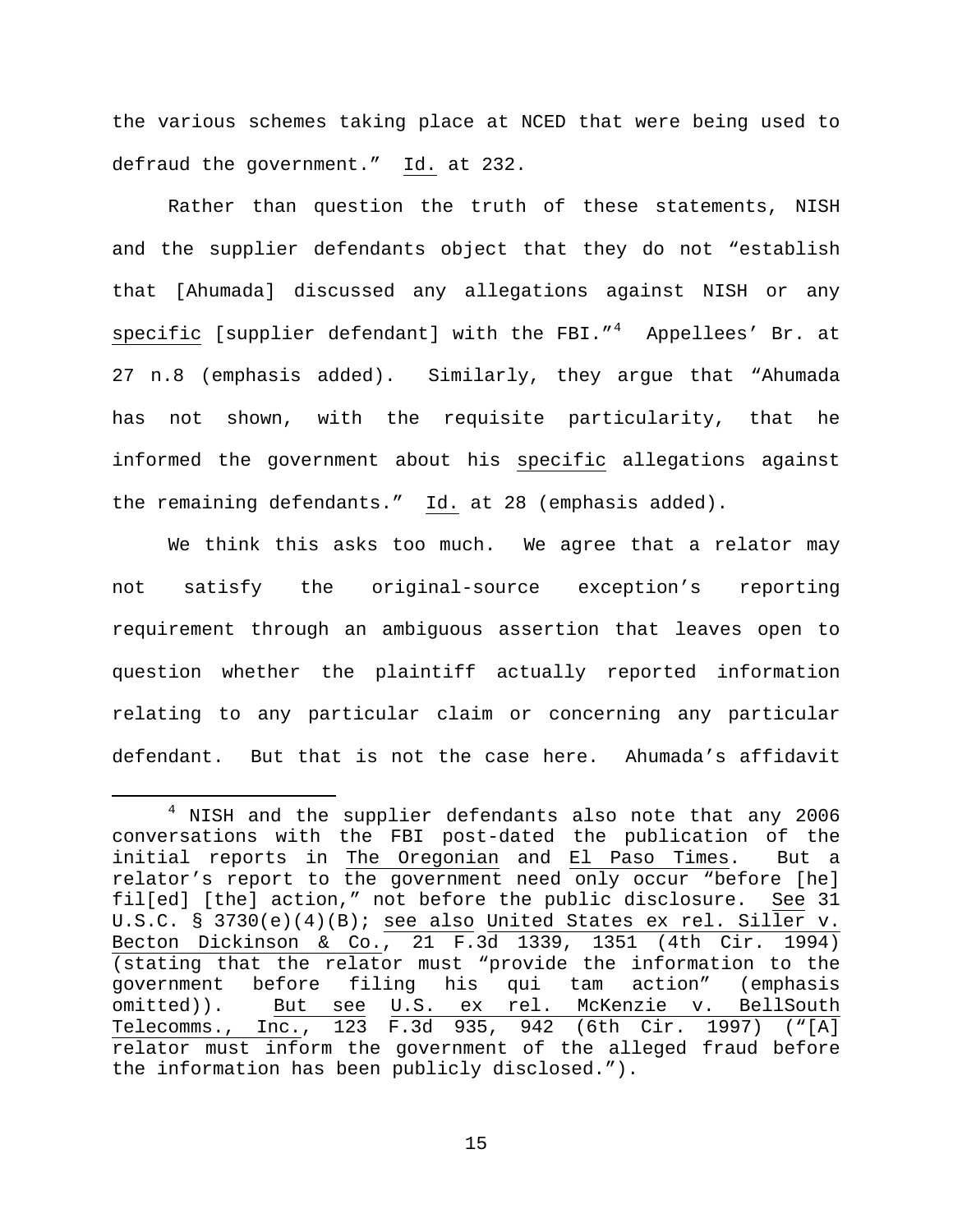the various schemes taking place at NCED that were being used to defraud the government." Id. at 232.

Rather than question the truth of these statements, NISH and the supplier defendants object that they do not "establish that [Ahumada] discussed any allegations against NISH or any specific [supplier defendant] with the FBI."<sup>[4](#page-14-0)</sup> Appellees' Br. at 27 n.8 (emphasis added). Similarly, they argue that "Ahumada has not shown, with the requisite particularity, that he informed the government about his specific allegations against the remaining defendants." Id. at 28 (emphasis added).

We think this asks too much. We agree that a relator may not satisfy the original-source exception's reporting requirement through an ambiguous assertion that leaves open to question whether the plaintiff actually reported information relating to any particular claim or concerning any particular defendant. But that is not the case here. Ahumada's affidavit

<span id="page-14-0"></span> <sup>4</sup> NISH and the supplier defendants also note that any 2006 conversations with the FBI post-dated the publication of the initial reports in The Oregonian and El Paso Times. But a relator's report to the government need only occur "before [he] fil[ed] [the] action," not before the public disclosure. See 31 U.S.C. § 3730(e)(4)(B); see also United States ex rel. Siller v. Becton Dickinson & Co., 21 F.3d 1339, 1351 (4th Cir. 1994) (stating that the relator must "provide the information to the<br>qovernment before filing his qui tam action" (emphasis government before filing his qui tam omitted)). But see U.S. ex rel. McKenzie v. BellSouth Telecomms., Inc., 123 F.3d 935, 942 (6th Cir. 1997) ("[A] relator must inform the government of the alleged fraud before the information has been publicly disclosed.").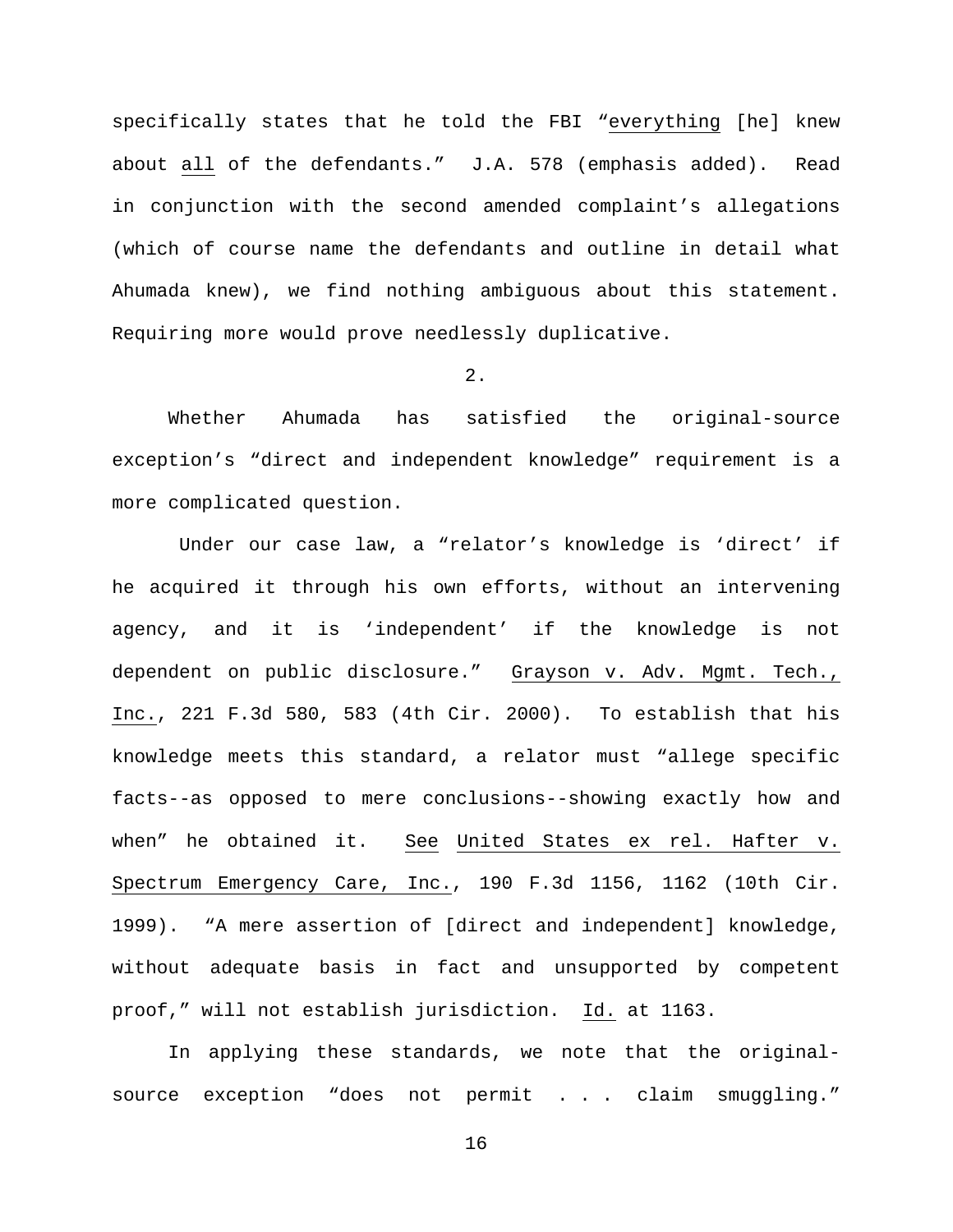specifically states that he told the FBI "everything [he] knew about all of the defendants." J.A. 578 (emphasis added). Read in conjunction with the second amended complaint's allegations (which of course name the defendants and outline in detail what Ahumada knew), we find nothing ambiguous about this statement. Requiring more would prove needlessly duplicative.

## 2.

Whether Ahumada has satisfied the original-source exception's "direct and independent knowledge" requirement is a more complicated question.

Under our case law, a "relator's knowledge is 'direct' if he acquired it through his own efforts, without an intervening agency, and it is 'independent' if the knowledge is not dependent on public disclosure." Grayson v. Adv. Mgmt. Tech., Inc., 221 F.3d 580, 583 (4th Cir. 2000). To establish that his knowledge meets this standard, a relator must "allege specific facts--as opposed to mere conclusions--showing exactly how and when" he obtained it. See United States ex rel. Hafter v. Spectrum Emergency Care, Inc., 190 F.3d 1156, 1162 (10th Cir. 1999). "A mere assertion of [direct and independent] knowledge, without adequate basis in fact and unsupported by competent proof," will not establish jurisdiction. Id. at 1163.

In applying these standards, we note that the originalsource exception "does not permit . . . claim smuggling."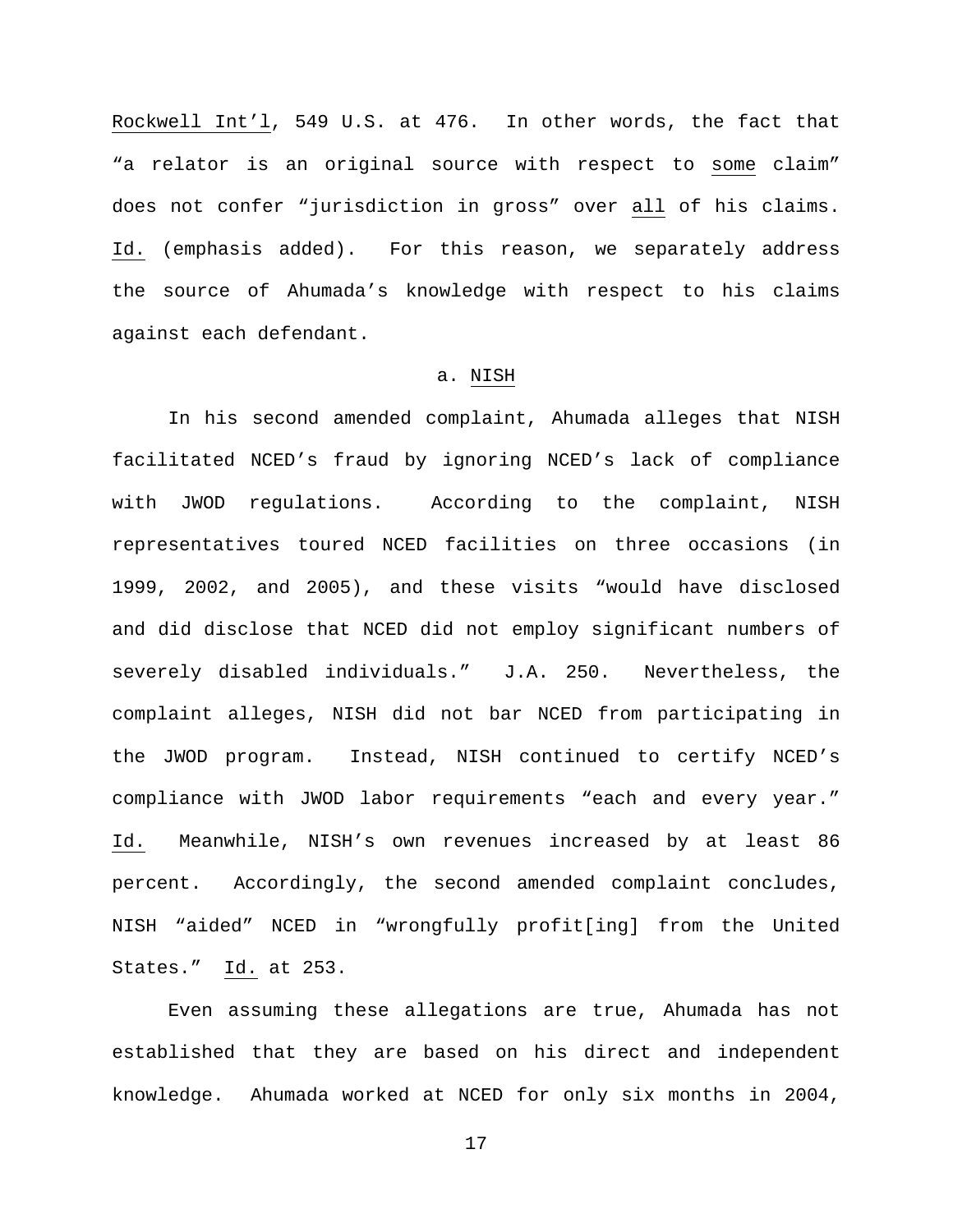Rockwell Int'l, 549 U.S. at 476. In other words, the fact that "a relator is an original source with respect to some claim" does not confer "jurisdiction in gross" over all of his claims. Id. (emphasis added). For this reason, we separately address the source of Ahumada's knowledge with respect to his claims against each defendant.

## a. NISH

In his second amended complaint, Ahumada alleges that NISH facilitated NCED's fraud by ignoring NCED's lack of compliance with JWOD regulations. According to the complaint, NISH representatives toured NCED facilities on three occasions (in 1999, 2002, and 2005), and these visits "would have disclosed and did disclose that NCED did not employ significant numbers of severely disabled individuals." J.A. 250. Nevertheless, the complaint alleges, NISH did not bar NCED from participating in the JWOD program. Instead, NISH continued to certify NCED's compliance with JWOD labor requirements "each and every year." Id. Meanwhile, NISH's own revenues increased by at least 86 percent. Accordingly, the second amended complaint concludes, NISH "aided" NCED in "wrongfully profit[ing] from the United States." Id. at 253.

Even assuming these allegations are true, Ahumada has not established that they are based on his direct and independent knowledge. Ahumada worked at NCED for only six months in 2004,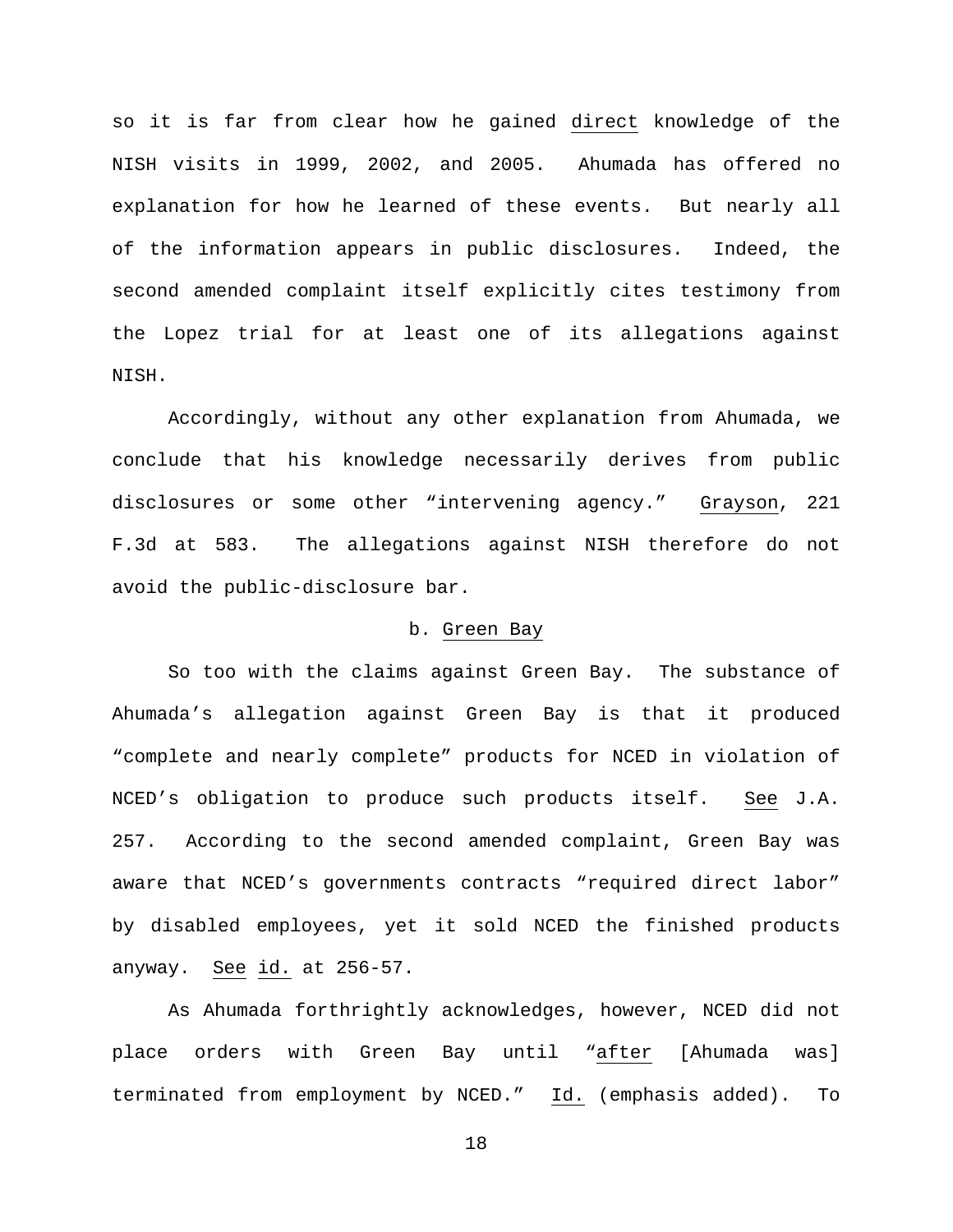so it is far from clear how he gained direct knowledge of the NISH visits in 1999, 2002, and 2005. Ahumada has offered no explanation for how he learned of these events. But nearly all of the information appears in public disclosures. Indeed, the second amended complaint itself explicitly cites testimony from the Lopez trial for at least one of its allegations against NISH.

Accordingly, without any other explanation from Ahumada, we conclude that his knowledge necessarily derives from public disclosures or some other "intervening agency." Grayson, 221 F.3d at 583. The allegations against NISH therefore do not avoid the public-disclosure bar.

## b. Green Bay

So too with the claims against Green Bay. The substance of Ahumada's allegation against Green Bay is that it produced "complete and nearly complete" products for NCED in violation of NCED's obligation to produce such products itself. See J.A. 257. According to the second amended complaint, Green Bay was aware that NCED's governments contracts "required direct labor" by disabled employees, yet it sold NCED the finished products anyway. See id. at 256-57.

As Ahumada forthrightly acknowledges, however, NCED did not place orders with Green Bay until "after [Ahumada was] terminated from employment by NCED." Id. (emphasis added). To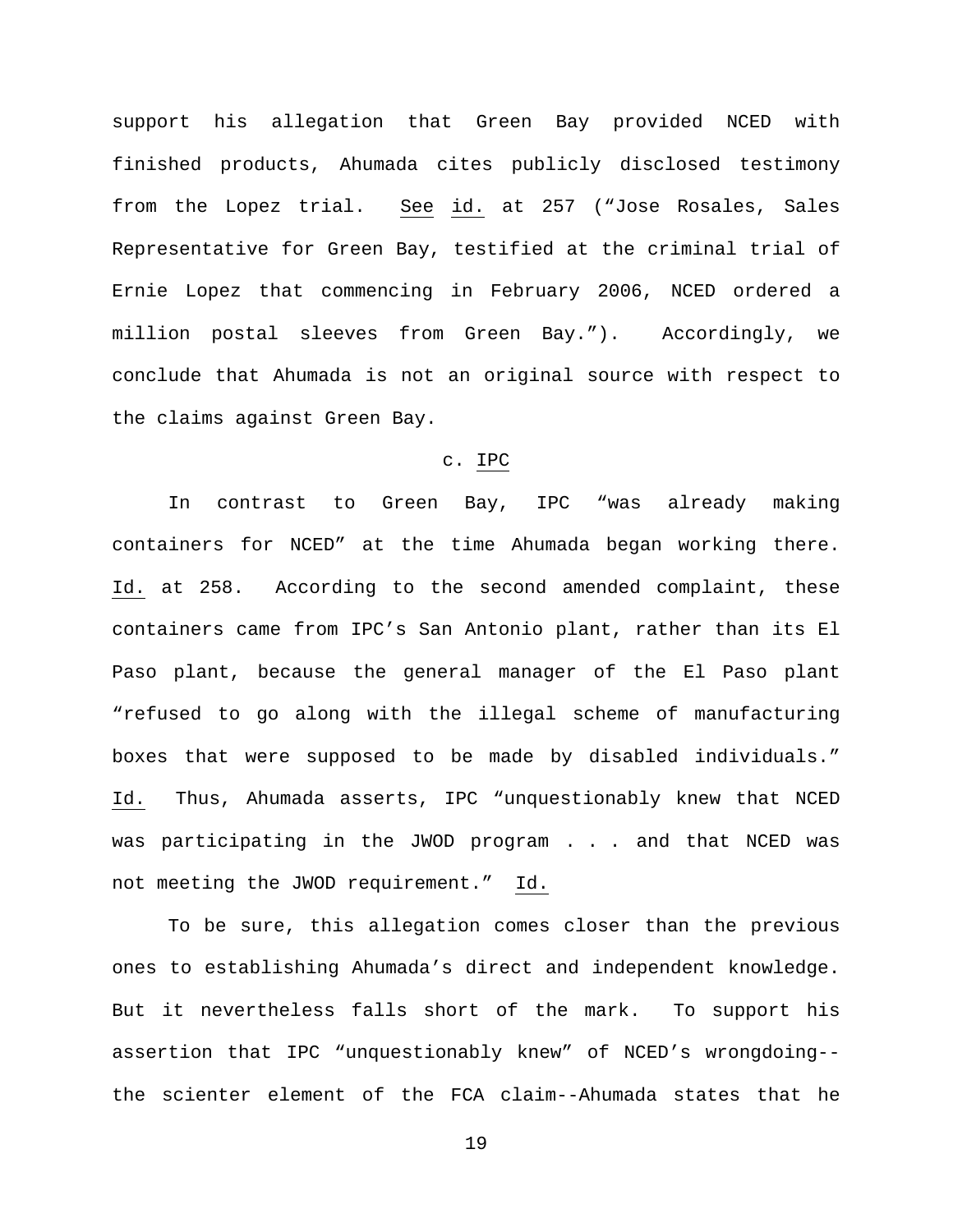support his allegation that Green Bay provided NCED with finished products, Ahumada cites publicly disclosed testimony from the Lopez trial. See id. at 257 ("Jose Rosales, Sales Representative for Green Bay, testified at the criminal trial of Ernie Lopez that commencing in February 2006, NCED ordered a million postal sleeves from Green Bay."). Accordingly, we conclude that Ahumada is not an original source with respect to the claims against Green Bay.

# c. IPC

In contrast to Green Bay, IPC "was already making containers for NCED" at the time Ahumada began working there. Id. at 258. According to the second amended complaint, these containers came from IPC's San Antonio plant, rather than its El Paso plant, because the general manager of the El Paso plant "refused to go along with the illegal scheme of manufacturing boxes that were supposed to be made by disabled individuals." Id. Thus, Ahumada asserts, IPC "unquestionably knew that NCED was participating in the JWOD program . . . and that NCED was not meeting the JWOD requirement." Id.

To be sure, this allegation comes closer than the previous ones to establishing Ahumada's direct and independent knowledge. But it nevertheless falls short of the mark. To support his assertion that IPC "unquestionably knew" of NCED's wrongdoing- the scienter element of the FCA claim--Ahumada states that he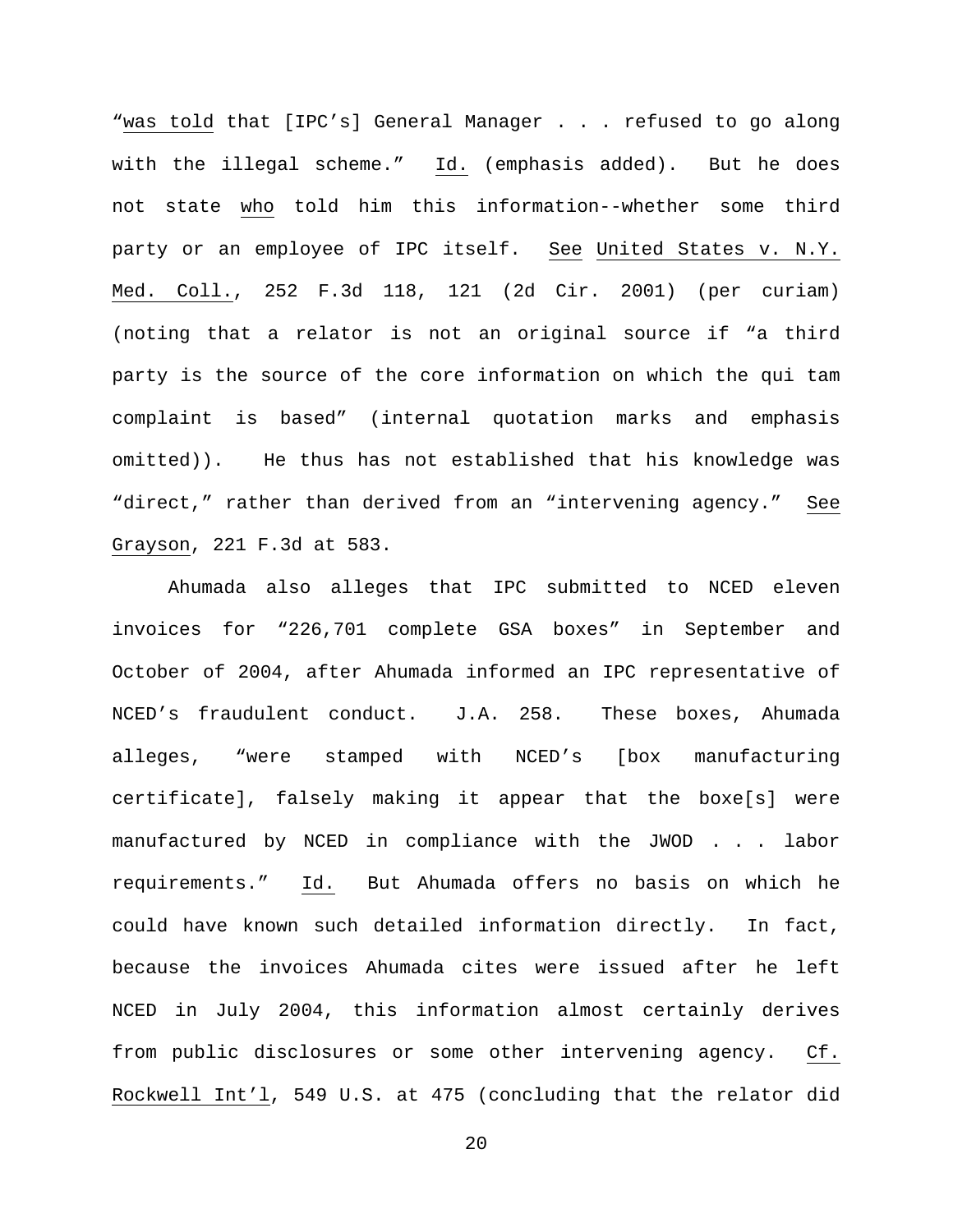"was told that [IPC's] General Manager . . . refused to go along with the illegal scheme." Id. (emphasis added). But he does not state who told him this information--whether some third party or an employee of IPC itself. See United States v. N.Y. Med. Coll., 252 F.3d 118, 121 (2d Cir. 2001) (per curiam) (noting that a relator is not an original source if "a third party is the source of the core information on which the qui tam complaint is based" (internal quotation marks and emphasis omitted)). He thus has not established that his knowledge was "direct," rather than derived from an "intervening agency." See Grayson, 221 F.3d at 583.

Ahumada also alleges that IPC submitted to NCED eleven invoices for "226,701 complete GSA boxes" in September and October of 2004, after Ahumada informed an IPC representative of NCED's fraudulent conduct. J.A. 258. These boxes, Ahumada alleges, "were stamped with NCED's [box manufacturing certificate], falsely making it appear that the boxe[s] were manufactured by NCED in compliance with the JWOD . . . labor requirements." Id. But Ahumada offers no basis on which he could have known such detailed information directly. In fact, because the invoices Ahumada cites were issued after he left NCED in July 2004, this information almost certainly derives from public disclosures or some other intervening agency. Cf. Rockwell Int'l, 549 U.S. at 475 (concluding that the relator did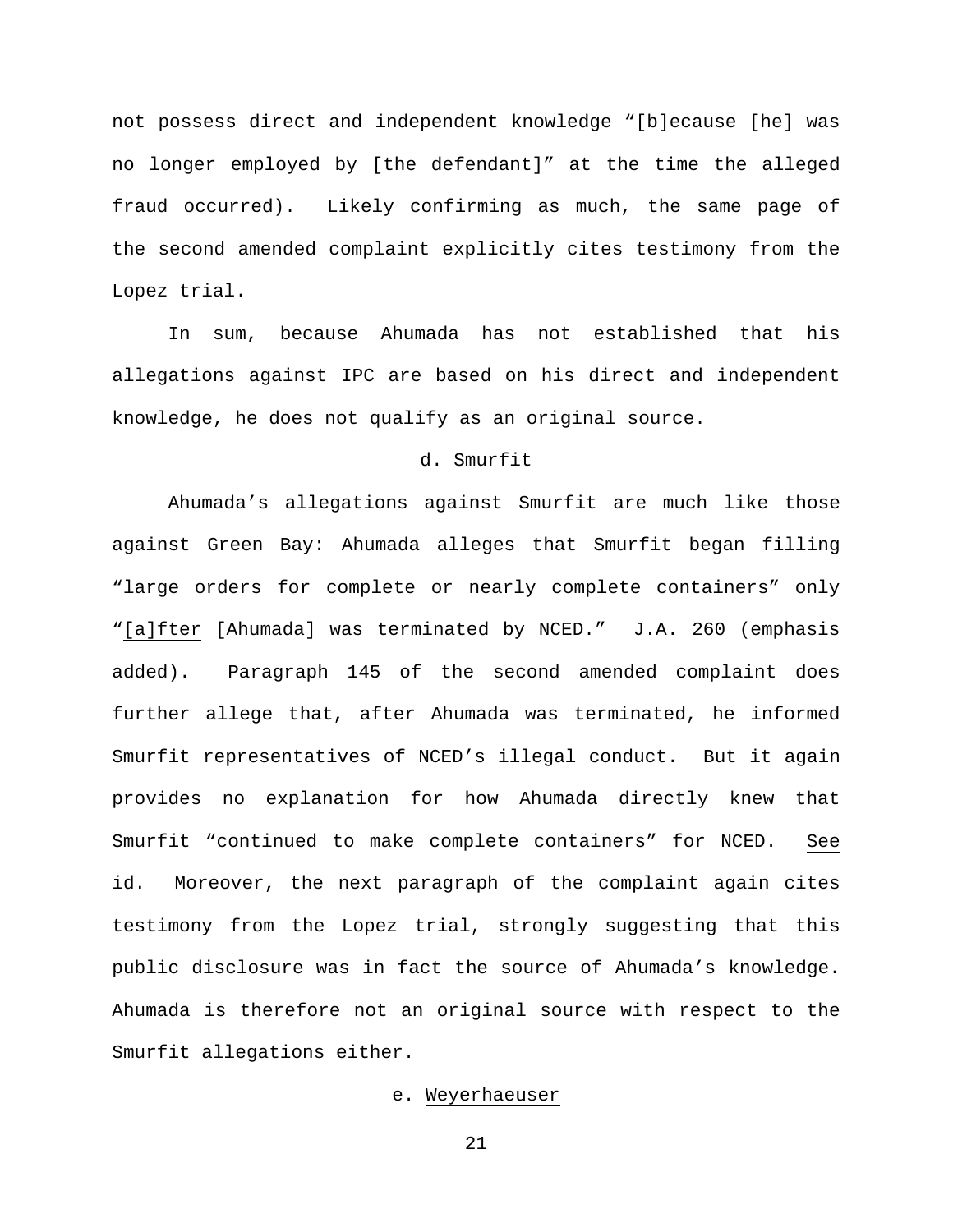not possess direct and independent knowledge "[b]ecause [he] was no longer employed by [the defendant]" at the time the alleged fraud occurred). Likely confirming as much, the same page of the second amended complaint explicitly cites testimony from the Lopez trial.

In sum, because Ahumada has not established that his allegations against IPC are based on his direct and independent knowledge, he does not qualify as an original source.

# d. Smurfit

Ahumada's allegations against Smurfit are much like those against Green Bay: Ahumada alleges that Smurfit began filling "large orders for complete or nearly complete containers" only "[a]fter [Ahumada] was terminated by NCED." J.A. 260 (emphasis added). Paragraph 145 of the second amended complaint does further allege that, after Ahumada was terminated, he informed Smurfit representatives of NCED's illegal conduct. But it again provides no explanation for how Ahumada directly knew that Smurfit "continued to make complete containers" for NCED. See id. Moreover, the next paragraph of the complaint again cites testimony from the Lopez trial, strongly suggesting that this public disclosure was in fact the source of Ahumada's knowledge. Ahumada is therefore not an original source with respect to the Smurfit allegations either.

# e. Weyerhaeuser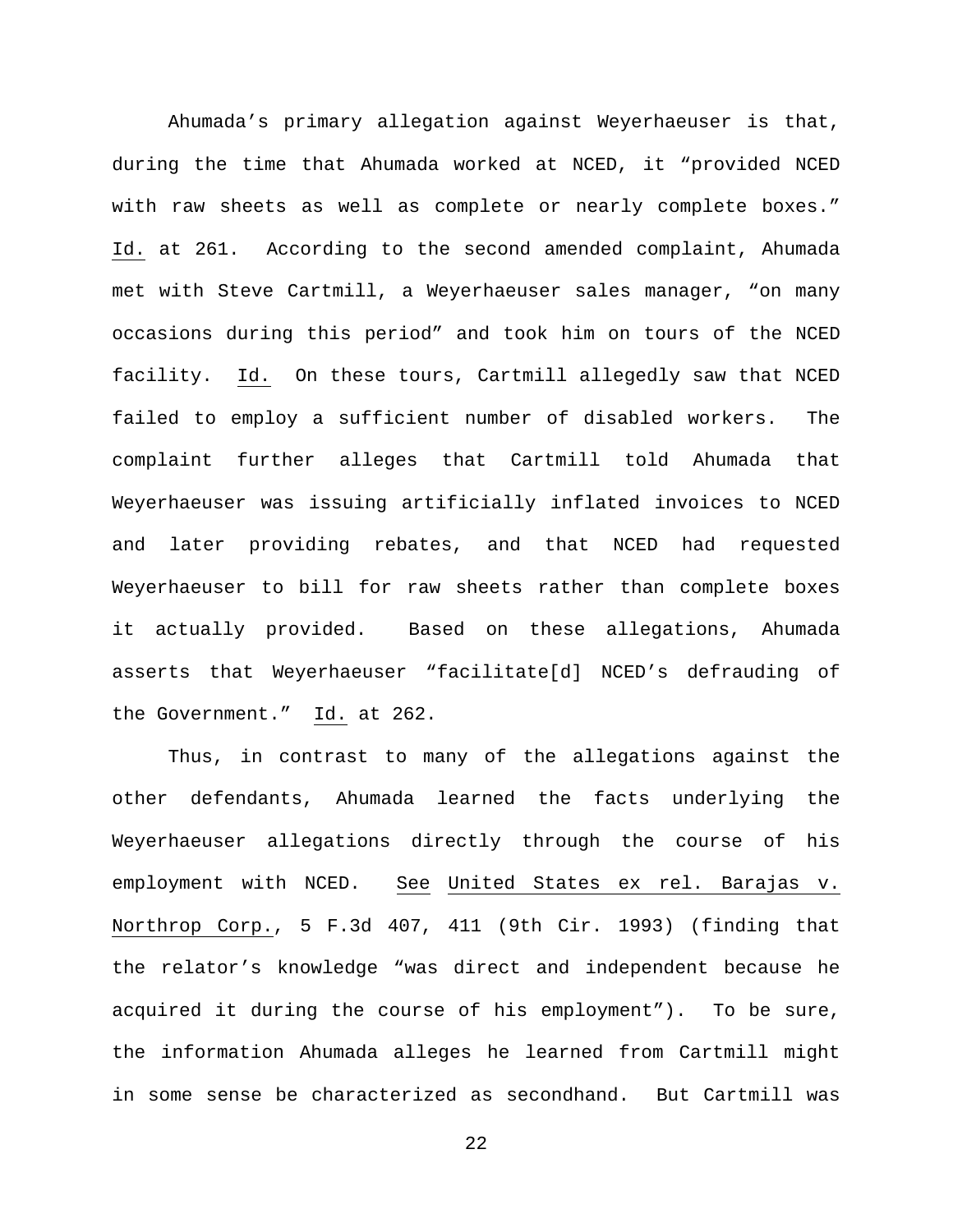Ahumada's primary allegation against Weyerhaeuser is that, during the time that Ahumada worked at NCED, it "provided NCED with raw sheets as well as complete or nearly complete boxes." Id. at 261. According to the second amended complaint, Ahumada met with Steve Cartmill, a Weyerhaeuser sales manager, "on many occasions during this period" and took him on tours of the NCED facility. Id. On these tours, Cartmill allegedly saw that NCED failed to employ a sufficient number of disabled workers. The complaint further alleges that Cartmill told Ahumada that Weyerhaeuser was issuing artificially inflated invoices to NCED and later providing rebates, and that NCED had requested Weyerhaeuser to bill for raw sheets rather than complete boxes it actually provided. Based on these allegations, Ahumada asserts that Weyerhaeuser "facilitate[d] NCED's defrauding of the Government." Id. at 262.

Thus, in contrast to many of the allegations against the other defendants, Ahumada learned the facts underlying the Weyerhaeuser allegations directly through the course of his employment with NCED. See United States ex rel. Barajas v. Northrop Corp., 5 F.3d 407, 411 (9th Cir. 1993) (finding that the relator's knowledge "was direct and independent because he acquired it during the course of his employment"). To be sure, the information Ahumada alleges he learned from Cartmill might in some sense be characterized as secondhand. But Cartmill was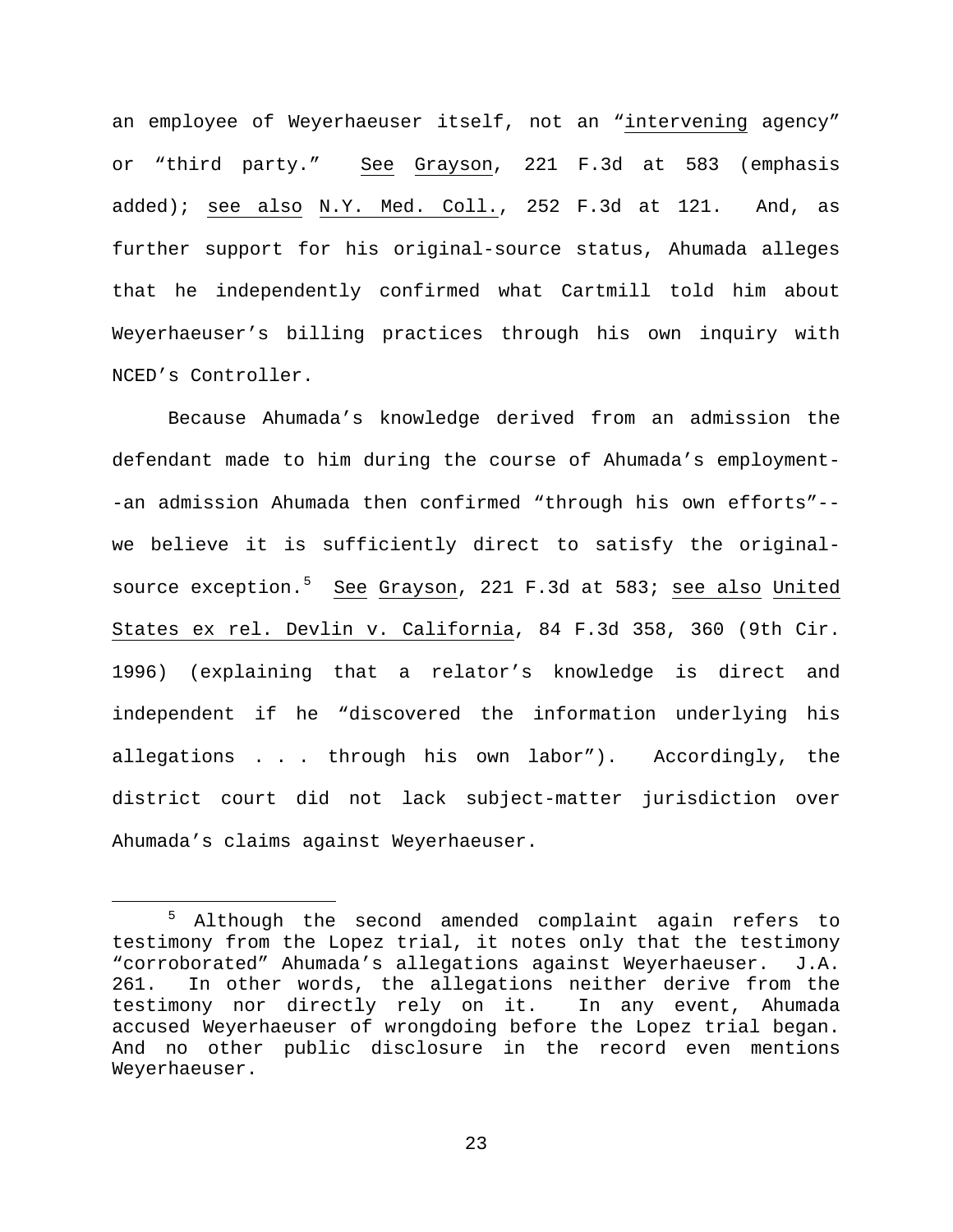an employee of Weyerhaeuser itself, not an "intervening agency" or "third party." See Grayson, 221 F.3d at 583 (emphasis added); see also N.Y. Med. Coll., 252 F.3d at 121. And, as further support for his original-source status, Ahumada alleges that he independently confirmed what Cartmill told him about Weyerhaeuser's billing practices through his own inquiry with NCED's Controller.

Because Ahumada's knowledge derived from an admission the defendant made to him during the course of Ahumada's employment- -an admission Ahumada then confirmed "through his own efforts"- we believe it is sufficiently direct to satisfy the original-source exception.<sup>[5](#page-22-0)</sup> See Grayson, 221 F.3d at 583; <u>see also</u> United States ex rel. Devlin v. California, 84 F.3d 358, 360 (9th Cir. 1996) (explaining that a relator's knowledge is direct and independent if he "discovered the information underlying his allegations . . . through his own labor"). Accordingly, the district court did not lack subject-matter jurisdiction over Ahumada's claims against Weyerhaeuser.

<span id="page-22-0"></span> <sup>5</sup> Although the second amended complaint again refers to testimony from the Lopez trial, it notes only that the testimony "corroborated" Ahumada's allegations against Weyerhaeuser. J.A. 261. In other words, the allegations neither derive from the testimony nor directly rely on it. In any event, Ahumada accused Weyerhaeuser of wrongdoing before the Lopez trial began. And no other public disclosure in the record even mentions Weyerhaeuser.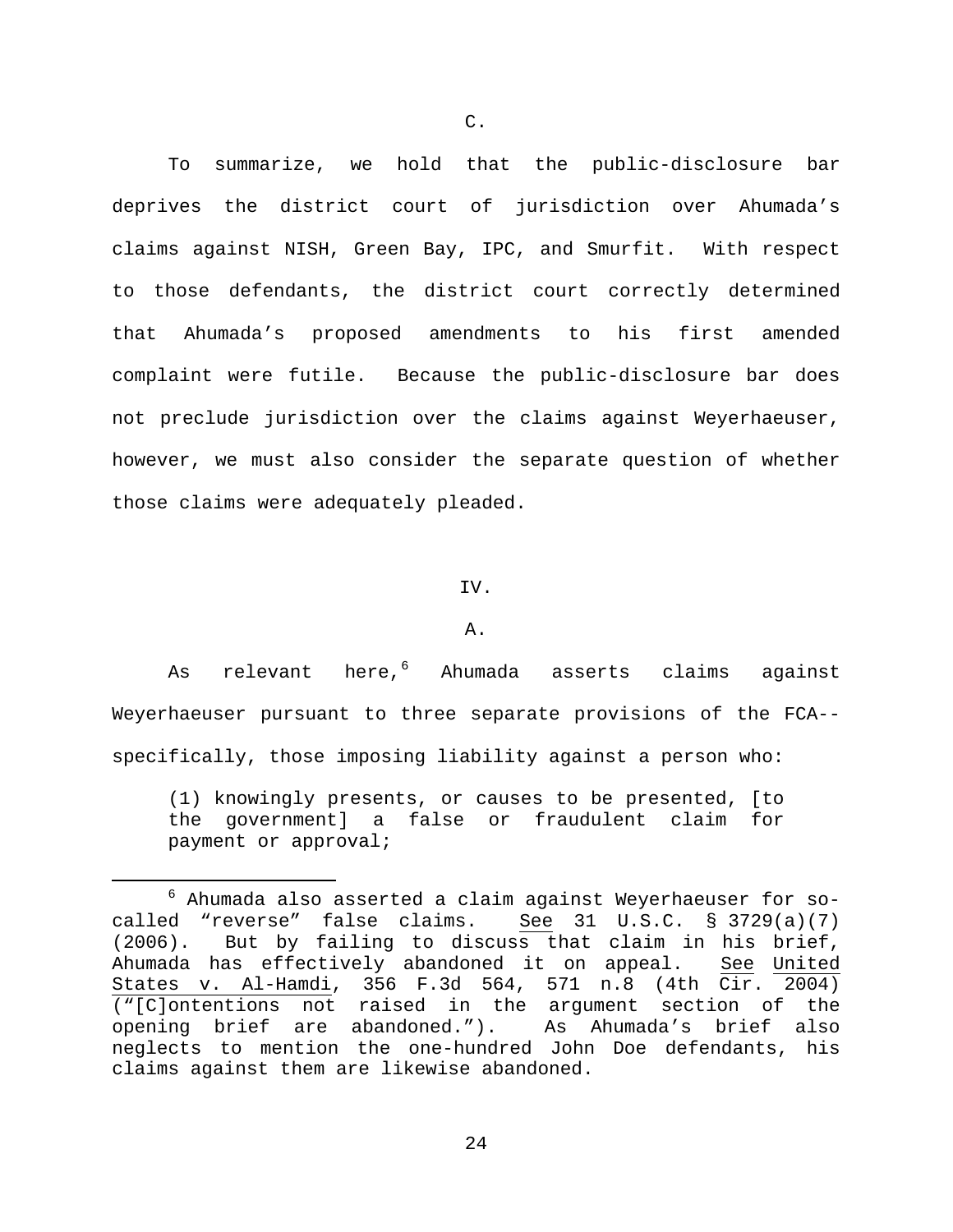To summarize, we hold that the public-disclosure bar deprives the district court of jurisdiction over Ahumada's claims against NISH, Green Bay, IPC, and Smurfit. With respect to those defendants, the district court correctly determined that Ahumada's proposed amendments to his first amended complaint were futile. Because the public-disclosure bar does not preclude jurisdiction over the claims against Weyerhaeuser, however, we must also consider the separate question of whether those claims were adequately pleaded.

### IV.

#### A.

As relevant here, <sup>[6](#page-23-0)</sup> Ahumada asserts claims against Weyerhaeuser pursuant to three separate provisions of the FCA- specifically, those imposing liability against a person who:

(1) knowingly presents, or causes to be presented, [to the government] a false or fraudulent claim for payment or approval;

<span id="page-23-0"></span> $6$  Ahumada also asserted a claim against Weyerhaeuser for socalled "reverse" false claims. See 31 U.S.C. § 3729(a)(7) (2006). But by failing to discuss that claim in his brief, Ahumada has effectively abandoned it on appeal. See United States v. Al-Hamdi, 356 F.3d 564, 571 n.8 (4th Cir. 2004) ("[C]ontentions not raised in the argument section of the<br>opening brief are abandoned."). As Ahumada's brief also opening brief are abandoned."). neglects to mention the one-hundred John Doe defendants, his claims against them are likewise abandoned.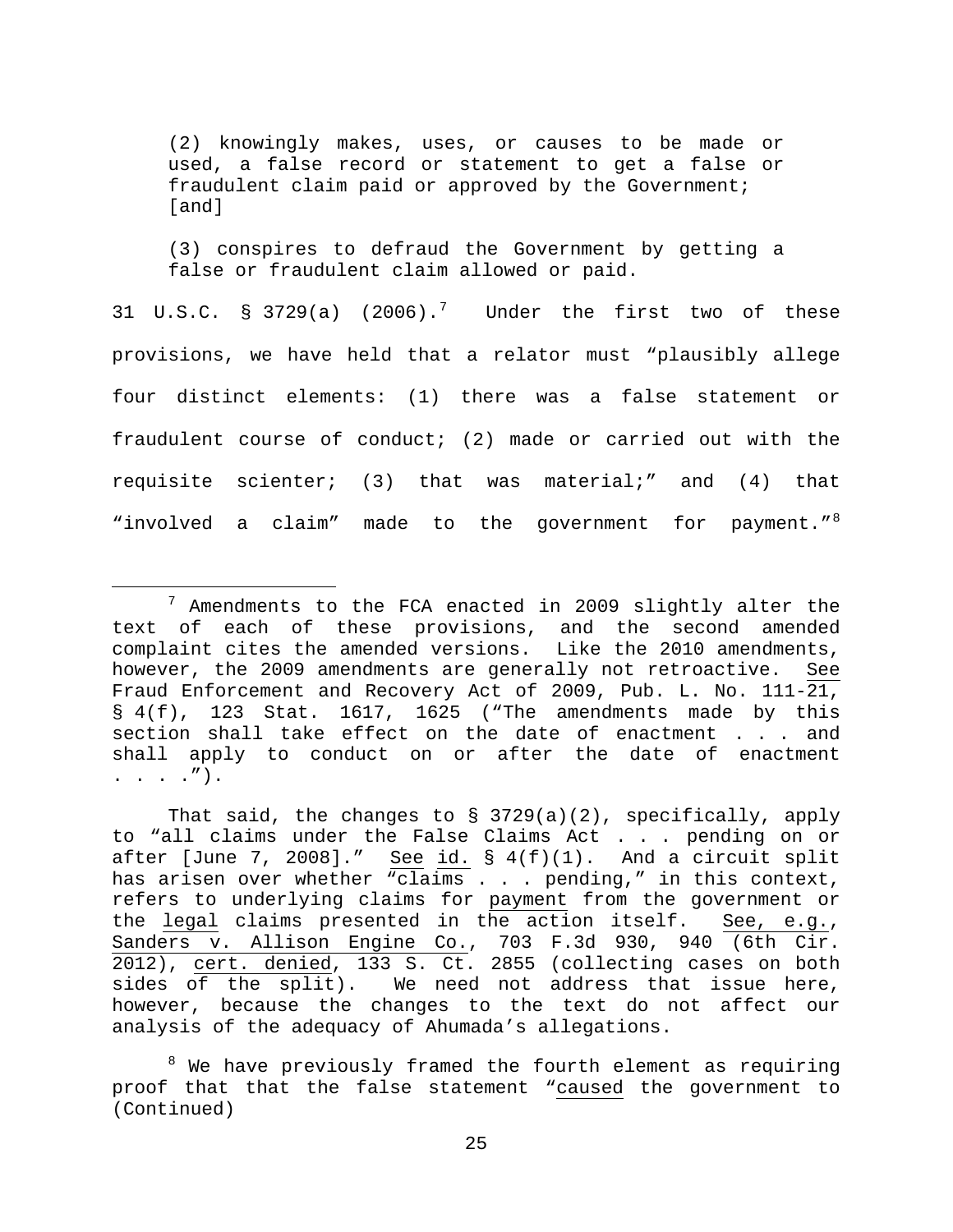(2) knowingly makes, uses, or causes to be made or used, a false record or statement to get a false or fraudulent claim paid or approved by the Government; [and]

(3) conspires to defraud the Government by getting a false or fraudulent claim allowed or paid.

31 U.S.C.  $\frac{1}{2}$  3[7](#page-24-0)29(a) (2006).<sup>7</sup> Under the first two of these provisions, we have held that a relator must "plausibly allege four distinct elements: (1) there was a false statement or fraudulent course of conduct; (2) made or carried out with the requisite scienter; (3) that was material;" and (4) that "involved a claim" made to the government for payment."<sup>[8](#page-24-1)</sup>

That said, the changes to § 3729(a)(2), specifically, apply to "all claims under the False Claims Act . . . pending on or after [June 7, 2008]." See id.  $\S 4(f)(1)$ . And a circuit split has arisen over whether "claims . . . pending," in this context, refers to underlying claims for payment from the government or the legal claims presented in the action itself. See, e.g., Sanders v. Allison Engine Co., 703 F.3d 930, 940 (6th Cir. 2012), cert. denied, 133 S. Ct. 2855 (collecting cases on both sides of the split). We need not address that issue here, however, because the changes to the text do not affect our analysis of the adequacy of Ahumada's allegations.

<span id="page-24-1"></span><sup>8</sup> We have previously framed the fourth element as requiring proof that that the false statement "caused the government to (Continued)

<span id="page-24-0"></span> $7$  Amendments to the FCA enacted in 2009 slightly alter the text of each of these provisions, and the second amended complaint cites the amended versions. Like the 2010 amendments, however, the 2009 amendments are generally not retroactive. See Fraud Enforcement and Recovery Act of 2009, Pub. L. No. 111-21, § 4(f), 123 Stat. 1617, 1625 ("The amendments made by this section shall take effect on the date of enactment . . . and shall apply to conduct on or after the date of enactment . . . .").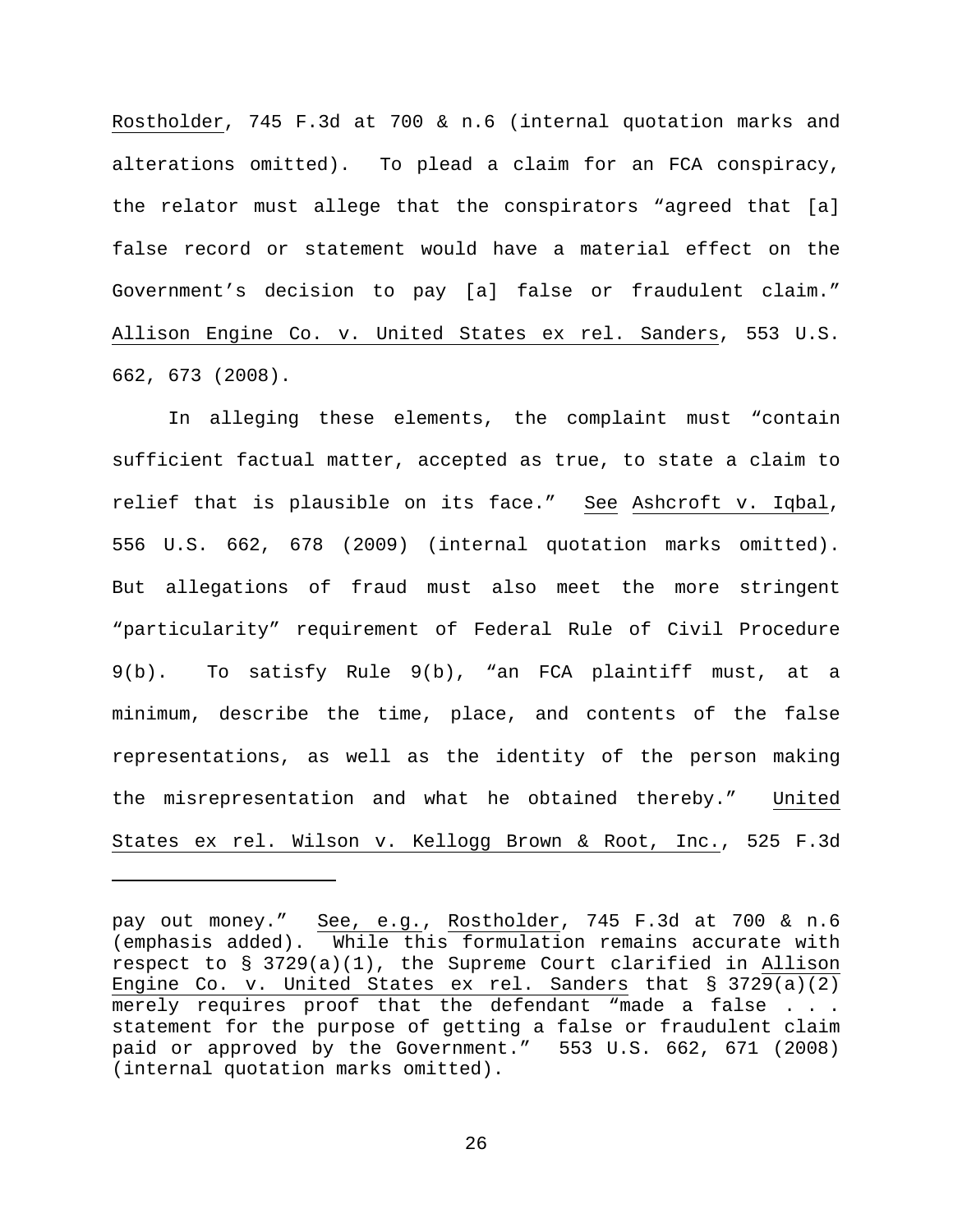Rostholder, 745 F.3d at 700 & n.6 (internal quotation marks and alterations omitted). To plead a claim for an FCA conspiracy, the relator must allege that the conspirators "agreed that [a] false record or statement would have a material effect on the Government's decision to pay [a] false or fraudulent claim." Allison Engine Co. v. United States ex rel. Sanders, 553 U.S. 662, 673 (2008).

In alleging these elements, the complaint must "contain sufficient factual matter, accepted as true, to state a claim to relief that is plausible on its face." See Ashcroft v. Iqbal, 556 U.S. 662, 678 (2009) (internal quotation marks omitted). But allegations of fraud must also meet the more stringent "particularity" requirement of Federal Rule of Civil Procedure 9(b). To satisfy Rule 9(b), "an FCA plaintiff must, at a minimum, describe the time, place, and contents of the false representations, as well as the identity of the person making the misrepresentation and what he obtained thereby." United States ex rel. Wilson v. Kellogg Brown & Root, Inc., 525 F.3d

Ĩ.

pay out money." See, e.g., Rostholder, 745 F.3d at 700 & n.6 (emphasis added). While this formulation remains accurate with respect to § 3729(a)(1), the Supreme Court clarified in Allison Engine Co. v. United States ex rel. Sanders that § 3729(a)(2) merely requires proof that the defendant "made a false . . . statement for the purpose of getting a false or fraudulent claim paid or approved by the Government." 553 U.S. 662, 671 (2008) (internal quotation marks omitted).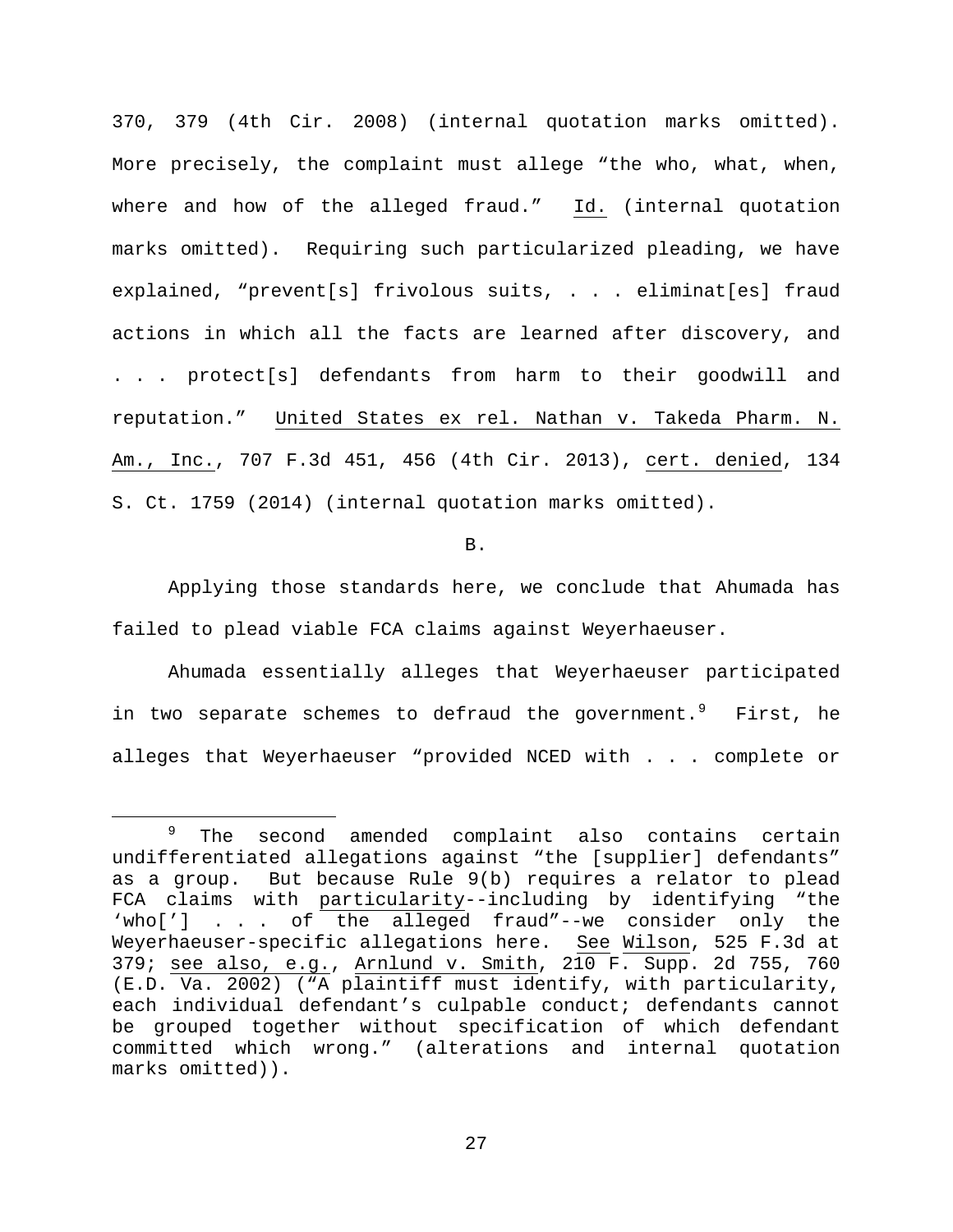370, 379 (4th Cir. 2008) (internal quotation marks omitted). More precisely, the complaint must allege "the who, what, when, where and how of the alleged fraud." Id. (internal quotation marks omitted). Requiring such particularized pleading, we have explained, "prevent[s] frivolous suits, . . . eliminat[es] fraud actions in which all the facts are learned after discovery, and . . . protect[s] defendants from harm to their goodwill and reputation." United States ex rel. Nathan v. Takeda Pharm. N. Am., Inc., 707 F.3d 451, 456 (4th Cir. 2013), cert. denied, 134 S. Ct. 1759 (2014) (internal quotation marks omitted).

### B.

Applying those standards here, we conclude that Ahumada has failed to plead viable FCA claims against Weyerhaeuser.

Ahumada essentially alleges that Weyerhaeuser participated in two separate schemes to defraud the government. PFirst, he alleges that Weyerhaeuser "provided NCED with . . . complete or

<span id="page-26-0"></span><sup>&</sup>lt;sup>9</sup> The second amended complaint also contains certain undifferentiated allegations against "the [supplier] defendants"<br>as a group. But because Rule 9(b) requires a relator to plead But because Rule 9(b) requires a relator to plead FCA claims with particularity--including by identifying "the 'who['] . . . of the alleged fraud"--we consider only the Weyerhaeuser-specific allegations here. See Wilson, 525 F.3d at 379; see also, e.g., Arnlund v. Smith, 210 F. Supp. 2d 755, 760 (E.D. Va. 2002) ("A plaintiff must identify, with particularity, each individual defendant's culpable conduct; defendants cannot be grouped together without specification of which defendant committed which wrong." (alterations and internal quotation marks omitted)).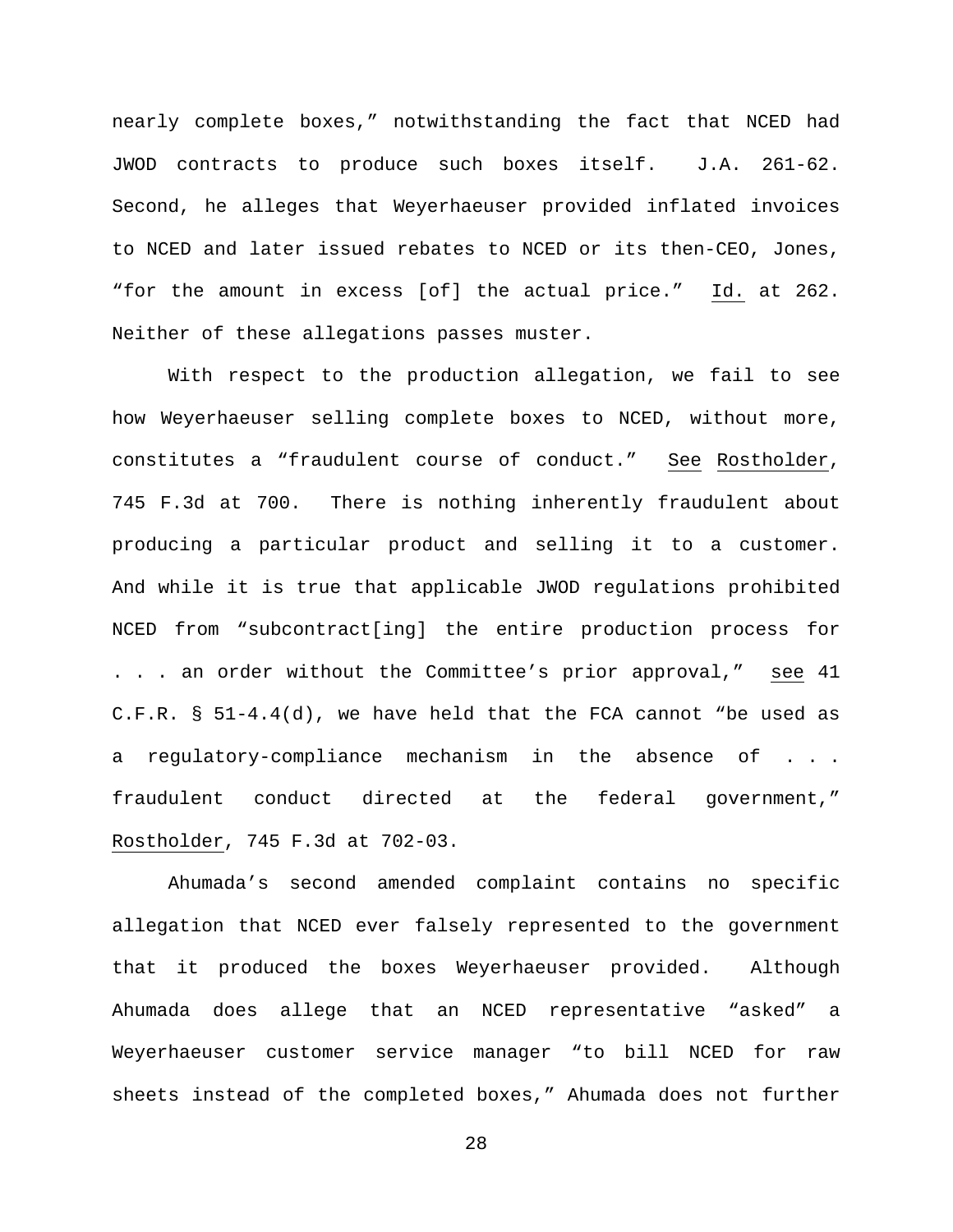nearly complete boxes," notwithstanding the fact that NCED had JWOD contracts to produce such boxes itself. J.A. 261-62. Second, he alleges that Weyerhaeuser provided inflated invoices to NCED and later issued rebates to NCED or its then-CEO, Jones, "for the amount in excess [of] the actual price." Id. at 262. Neither of these allegations passes muster.

With respect to the production allegation, we fail to see how Weyerhaeuser selling complete boxes to NCED, without more, constitutes a "fraudulent course of conduct." See Rostholder, 745 F.3d at 700. There is nothing inherently fraudulent about producing a particular product and selling it to a customer. And while it is true that applicable JWOD regulations prohibited NCED from "subcontract[ing] the entire production process for . . . an order without the Committee's prior approval," see 41 C.F.R. § 51-4.4(d), we have held that the FCA cannot "be used as a regulatory-compliance mechanism in the absence of . . . fraudulent conduct directed at the federal government," Rostholder, 745 F.3d at 702-03.

Ahumada's second amended complaint contains no specific allegation that NCED ever falsely represented to the government that it produced the boxes Weyerhaeuser provided. Although Ahumada does allege that an NCED representative "asked" a Weyerhaeuser customer service manager "to bill NCED for raw sheets instead of the completed boxes," Ahumada does not further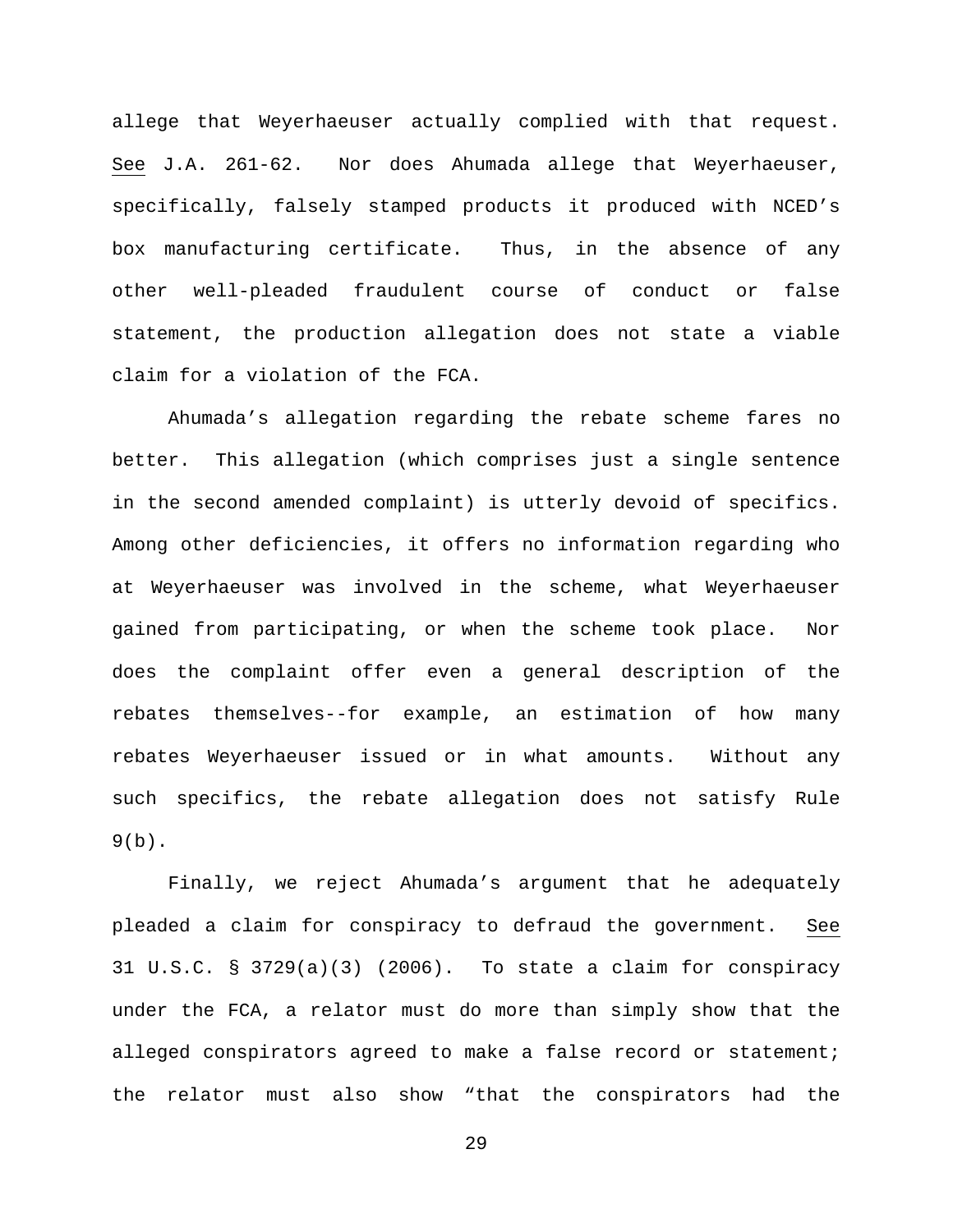allege that Weyerhaeuser actually complied with that request. See J.A. 261-62. Nor does Ahumada allege that Weyerhaeuser, specifically, falsely stamped products it produced with NCED's box manufacturing certificate. Thus, in the absence of any other well-pleaded fraudulent course of conduct or false statement, the production allegation does not state a viable claim for a violation of the FCA.

Ahumada's allegation regarding the rebate scheme fares no better. This allegation (which comprises just a single sentence in the second amended complaint) is utterly devoid of specifics. Among other deficiencies, it offers no information regarding who at Weyerhaeuser was involved in the scheme, what Weyerhaeuser gained from participating, or when the scheme took place. Nor does the complaint offer even a general description of the rebates themselves--for example, an estimation of how many rebates Weyerhaeuser issued or in what amounts. Without any such specifics, the rebate allegation does not satisfy Rule  $9(b)$ .

Finally, we reject Ahumada's argument that he adequately pleaded a claim for conspiracy to defraud the government. See 31 U.S.C. § 3729(a)(3) (2006). To state a claim for conspiracy under the FCA, a relator must do more than simply show that the alleged conspirators agreed to make a false record or statement; the relator must also show "that the conspirators had the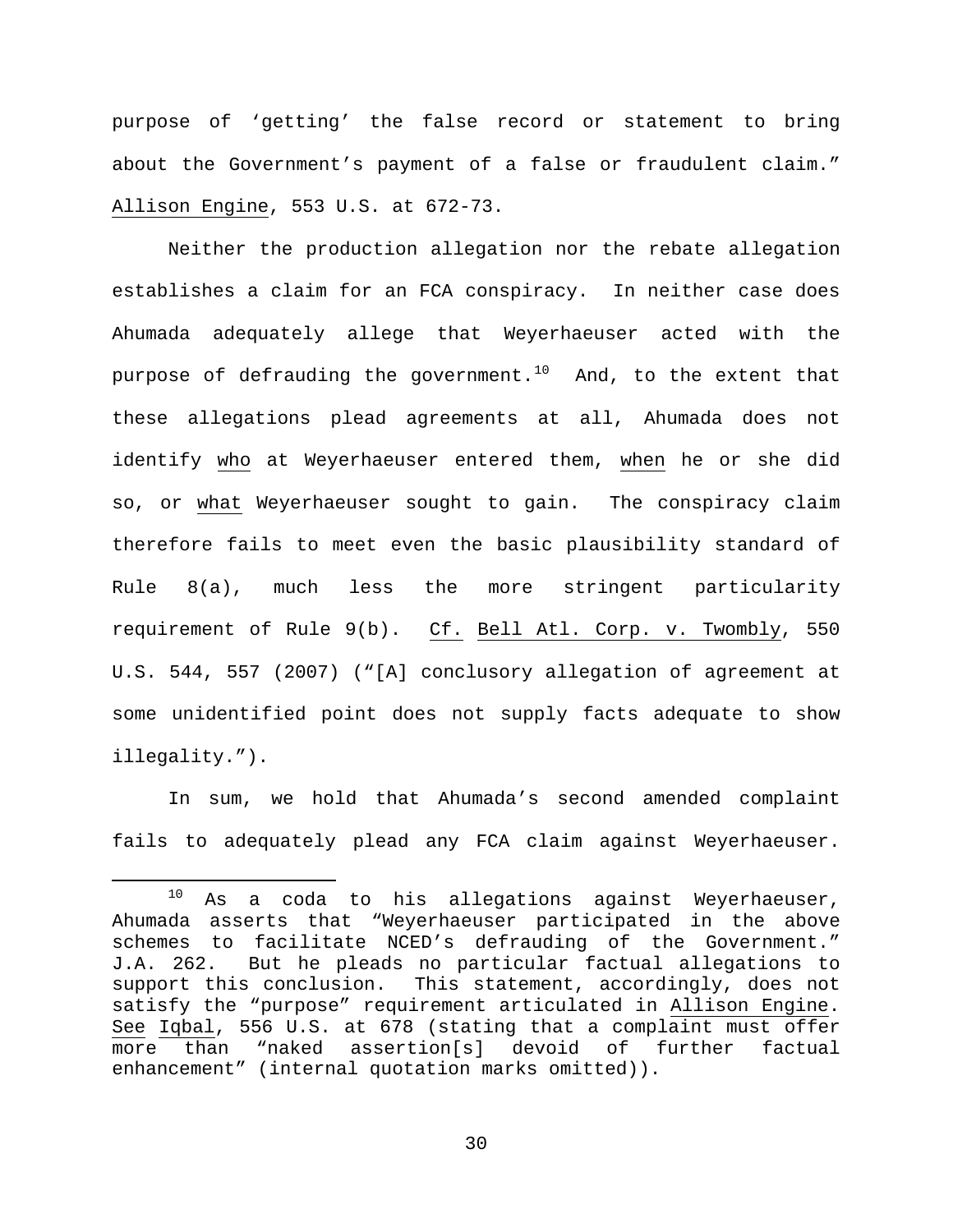purpose of 'getting' the false record or statement to bring about the Government's payment of a false or fraudulent claim." Allison Engine, 553 U.S. at 672-73.

Neither the production allegation nor the rebate allegation establishes a claim for an FCA conspiracy. In neither case does Ahumada adequately allege that Weyerhaeuser acted with the purpose of defrauding the government.<sup>[10](#page-29-0)</sup> And, to the extent that these allegations plead agreements at all, Ahumada does not identify who at Weyerhaeuser entered them, when he or she did so, or what Weyerhaeuser sought to gain. The conspiracy claim therefore fails to meet even the basic plausibility standard of Rule 8(a), much less the more stringent particularity requirement of Rule 9(b). Cf. Bell Atl. Corp. v. Twombly, 550 U.S. 544, 557 (2007) ("[A] conclusory allegation of agreement at some unidentified point does not supply facts adequate to show illegality.").

In sum, we hold that Ahumada's second amended complaint fails to adequately plead any FCA claim against Weyerhaeuser.

<span id="page-29-0"></span> $10$  As a coda to his allegations against Weyerhaeuser, Ahumada asserts that "Weyerhaeuser participated in the above schemes to facilitate NCED's defrauding of the Government." J.A. 262. But he pleads no particular factual allegations to support this conclusion. This statement, accordingly, does not satisfy the "purpose" requirement articulated in Allison Engine. See Iqbal, 556 U.S. at 678 (stating that a complaint must offer more than "naked assertion[s] devoid of further factual enhancement" (internal quotation marks omitted)).